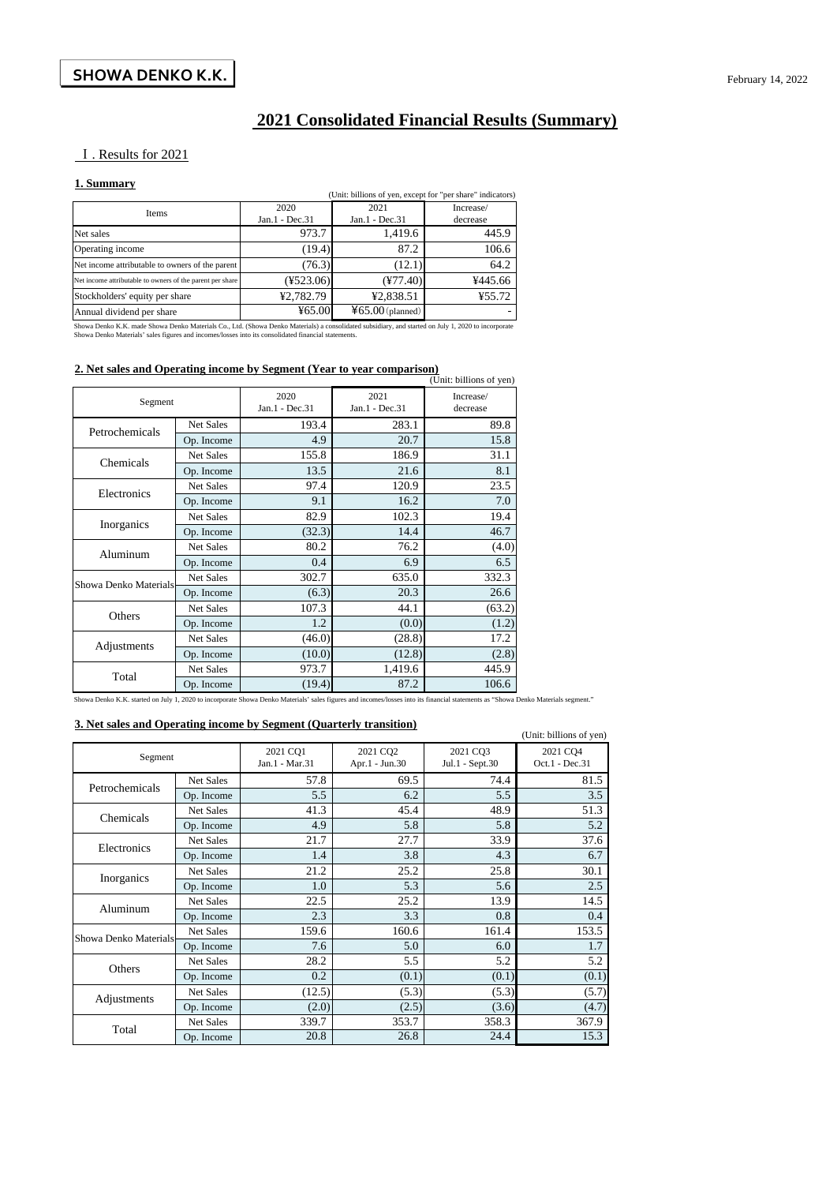## **2021 Consolidated Financial Results (Summary)**

#### Ⅰ. Results for 2021

#### **1. Summary**

| 1. Dunmar y<br>(Unit: billions of yen, except for "per share" indicators) |                        |                        |                       |  |  |
|---------------------------------------------------------------------------|------------------------|------------------------|-----------------------|--|--|
| Items                                                                     | 2020<br>Jan.1 - Dec.31 | 2021<br>Jan.1 - Dec.31 | Increase/<br>decrease |  |  |
| Net sales                                                                 | 973.7                  | 1,419.6                | 445.9                 |  |  |
| Operating income                                                          | (19.4)                 | 87.2                   | 106.6                 |  |  |
| Net income attributable to owners of the parent                           | (76.3)                 | (12.1)                 | 64.2                  |  |  |
| Net income attributable to owners of the parent per share                 | $(*523.06)$            | $(\frac{477.40}{5})$   | ¥445.66               |  |  |
| Stockholders' equity per share                                            | ¥2,782.79              | ¥2,838.51              | ¥55.72                |  |  |
| Annual dividend per share                                                 | 465.00                 | $465.00$ (planned)     |                       |  |  |

Showa Denko K.K. made Showa Denko Materials Co., Ltd. (Showa Denko Materials) a consolidated subsidiary, and started on July 1, 2020 to incorporate<br>Showa Denko Materials' sales figures and incomes/losses into its consolida

#### **2. Net sales and Operating income by Segment (Year to year comparison)**

|                       |            |                        |                        | (Unit: billions of yen) |
|-----------------------|------------|------------------------|------------------------|-------------------------|
| Segment               |            | 2020<br>Jan.1 - Dec.31 | 2021<br>Jan.1 - Dec.31 | Increase/<br>decrease   |
| Petrochemicals        | Net Sales  | 193.4                  | 283.1                  | 89.8                    |
|                       | Op. Income | 4.9                    | 20.7                   | 15.8                    |
| Chemicals             | Net Sales  | 155.8                  | 186.9                  | 31.1                    |
|                       | Op. Income | 13.5                   | 21.6                   | 8.1                     |
| Electronics           | Net Sales  | 97.4                   | 120.9                  | 23.5                    |
|                       | Op. Income | 9.1                    | 16.2                   | 7.0                     |
|                       | Net Sales  | 82.9                   | 102.3                  | 19.4                    |
| Inorganics            | Op. Income | (32.3)                 | 14.4                   | 46.7                    |
| Aluminum              | Net Sales  | 80.2                   | 76.2                   | (4.0)                   |
|                       | Op. Income | 0.4                    | 6.9                    | 6.5                     |
| Showa Denko Materials | Net Sales  | 302.7                  | 635.0                  | 332.3                   |
|                       | Op. Income | (6.3)                  | 20.3                   | 26.6                    |
| Others                | Net Sales  | 107.3                  | 44.1                   | (63.2)                  |
|                       | Op. Income | 1.2                    | (0.0)                  | (1.2)                   |
| Adjustments           | Net Sales  | (46.0)                 | (28.8)                 | 17.2                    |
|                       | Op. Income | (10.0)                 | (12.8)                 | (2.8)                   |
| Total                 | Net Sales  | 973.7                  | 1,419.6                | 445.9                   |
|                       | Op. Income | (19.4)                 | 87.2                   | 106.6                   |

Showa Denko K.K. started on July 1, 2020 to incorporate Showa Denko Materials' sales figures and incomes/losses into its financial statements as "Showa Denko Materials segment."

#### **3. Net sales and Operating income by Segment (Quarterly transition)**

|                        | of the sales and operating income by beginent (Quarterry transition)<br>(Unit: billions of yen) |                            |                            |                             |                            |  |  |  |
|------------------------|-------------------------------------------------------------------------------------------------|----------------------------|----------------------------|-----------------------------|----------------------------|--|--|--|
| Segment                |                                                                                                 | 2021 CQ1<br>Jan.1 - Mar.31 | 2021 CQ2<br>Apr.1 - Jun.30 | 2021 CO3<br>Jul.1 - Sept.30 | 2021 CQ4<br>Oct.1 - Dec.31 |  |  |  |
| Petrochemicals         | Net Sales                                                                                       | 57.8                       | 69.5                       | 74.4                        | 81.5                       |  |  |  |
|                        | Op. Income                                                                                      | 5.5                        | 6.2                        | 5.5                         | 3.5                        |  |  |  |
| Chemicals              | Net Sales                                                                                       | 41.3                       | 45.4                       | 48.9                        | 51.3                       |  |  |  |
|                        | Op. Income                                                                                      | 4.9                        | 5.8                        | 5.8                         | 5.2                        |  |  |  |
| Electronics            | <b>Net Sales</b>                                                                                | 21.7                       | 27.7                       | 33.9                        | 37.6                       |  |  |  |
|                        | Op. Income                                                                                      | 1.4                        | 3.8                        | 4.3                         | 6.7                        |  |  |  |
|                        | <b>Net Sales</b>                                                                                | 21.2                       | 25.2                       | 25.8                        | 30.1                       |  |  |  |
| Inorganics             | Op. Income                                                                                      | 1.0                        | 5.3                        | 5.6                         | 2.5                        |  |  |  |
| Aluminum               | Net Sales                                                                                       | 22.5                       | 25.2                       | 13.9                        | 14.5                       |  |  |  |
|                        | Op. Income                                                                                      | 2.3                        | 3.3                        | 0.8                         | 0.4                        |  |  |  |
| Showa Denko Materials- | <b>Net Sales</b>                                                                                | 159.6                      | 160.6                      | 161.4                       | 153.5                      |  |  |  |
|                        | Op. Income                                                                                      | 7.6                        | 5.0                        | 6.0                         | 1.7                        |  |  |  |
| Others                 | Net Sales                                                                                       | 28.2                       | 5.5                        | 5.2                         | 5.2                        |  |  |  |
|                        | Op. Income                                                                                      | 0.2                        | (0.1)                      | (0.1)                       | (0.1)                      |  |  |  |
|                        | <b>Net Sales</b>                                                                                | (12.5)                     | (5.3)                      | (5.3)                       | (5.7)                      |  |  |  |
| Adjustments            | Op. Income                                                                                      | (2.0)                      | (2.5)                      | (3.6)                       | (4.7)                      |  |  |  |
| Total                  | Net Sales                                                                                       | 339.7                      | 353.7                      | 358.3                       | 367.9                      |  |  |  |
|                        | Op. Income                                                                                      | 20.8                       | 26.8                       | 24.4                        | 15.3                       |  |  |  |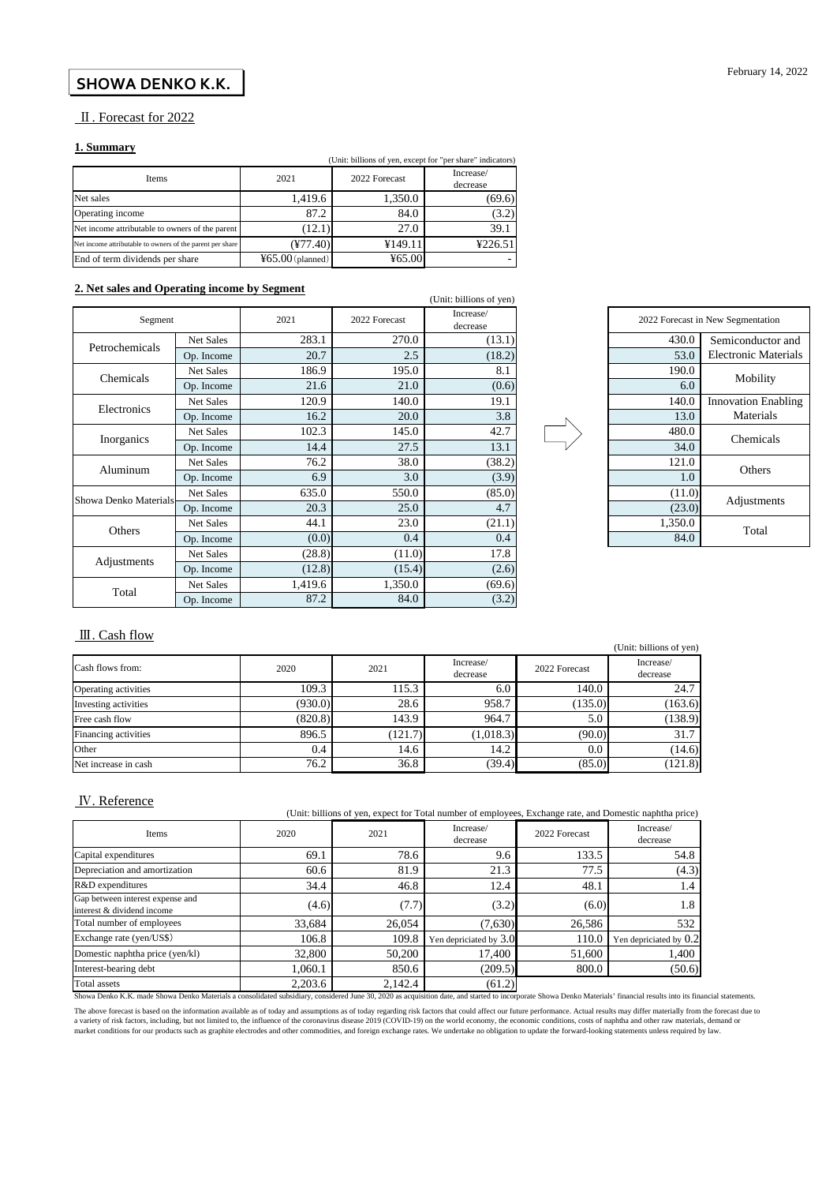#### **SHOWA DENKO K.K.**

#### Ⅱ. Forecast for 2022

#### **1. Summary**

|                                                           | (Unit: billions of yen, except for "per share" indicators) |               |                       |  |  |  |
|-----------------------------------------------------------|------------------------------------------------------------|---------------|-----------------------|--|--|--|
| Items                                                     | 2021                                                       | 2022 Forecast | Increase/<br>decrease |  |  |  |
| Net sales                                                 | 1,419.6                                                    | 1,350.0       | (69.6)                |  |  |  |
| Operating income                                          | 87.2                                                       | 84.0          | (3.2)                 |  |  |  |
| Net income attributable to owners of the parent           | (12.1)                                                     | 27.0          | 39.1                  |  |  |  |
| Net income attributable to owners of the parent per share | $(\frac{477.40}{\pi})$                                     | ¥149.11       | ¥226.51               |  |  |  |
| End of term dividends per share                           | $465.00$ (planned)                                         | 465.00        |                       |  |  |  |

#### **2. Net sales and Operating income by Segment**

| 2. Net safes and Operating income by Segment |                  |         |               | (Unit: billions of yen) |                 |
|----------------------------------------------|------------------|---------|---------------|-------------------------|-----------------|
| Segment                                      |                  | 2021    | 2022 Forecast | Increase/<br>decrease   | 2022 Forecast i |
|                                              | Net Sales        | 283.1   | 270.0         | (13.1)                  | 430.0           |
| Petrochemicals                               | Op. Income       | 20.7    | 2.5           | (18.2)                  | 53.0            |
| Chemicals                                    | Net Sales        | 186.9   | 195.0         | 8.1                     | 190.0           |
|                                              | Op. Income       | 21.6    | 21.0          | (0.6)                   | 6.0             |
| Electronics                                  | <b>Net Sales</b> | 120.9   | 140.0         | 19.1                    | 140.0           |
|                                              | Op. Income       | 16.2    | 20.0          | 3.8                     | 13.0            |
|                                              | Net Sales        | 102.3   | 145.0         | 42.7                    | 480.0           |
| Inorganics                                   | Op. Income       | 14.4    | 27.5          | 13.1                    | 34.0            |
| Aluminum                                     | Net Sales        | 76.2    | 38.0          | (38.2)                  | 121.0           |
|                                              | Op. Income       | 6.9     | 3.0           | (3.9)                   | 1.0             |
| Showa Denko Materials                        | Net Sales        | 635.0   | 550.0         | (85.0)                  | (11.0)          |
|                                              | Op. Income       | 20.3    | 25.0          | 4.7                     | (23.0)          |
| Others                                       | Net Sales        | 44.1    | 23.0          | (21.1)                  | 1,350.0         |
|                                              | Op. Income       | (0.0)   | 0.4           | 0.4                     | 84.0            |
|                                              | <b>Net Sales</b> | (28.8)  | (11.0)        | 17.8                    |                 |
| Adjustments                                  | Op. Income       | (12.8)  | (15.4)        | (2.6)                   |                 |
|                                              | <b>Net Sales</b> | 1,419.6 | 1,350.0       | (69.6)                  |                 |
| Total                                        | Op. Income       | 87.2    | 84.0          | (3.2)                   |                 |



#### Ⅲ. Cash flow

|                      |         |         |                       |               | (Unit: billions of yen) |
|----------------------|---------|---------|-----------------------|---------------|-------------------------|
| Cash flows from:     | 2020    | 2021    | Increase/<br>decrease | 2022 Forecast | Increase/<br>decrease   |
| Operating activities | 109.3   | 115.3   | 6.0                   | 140.0         | 24.7                    |
| Investing activities | (930.0) | 28.6    | 958.7                 | (135.0)       | (163.6)                 |
| Free cash flow       | (820.8) | 143.9   | 964.7                 | 5.0           | (138.9)                 |
| Financing activities | 896.5   | (121.7) | (1,018.3)             | (90.0)        | 31.7                    |
| Other                | 0.4     | 14.6    | 14.2                  | 0.0           | (14.6)                  |
| Net increase in cash | 76.2    | 36.8    | (39.4)                | (85.0)        | 121.8                   |

#### Ⅳ. Reference

| (Unit: billions of yen, expect for Total number of employees, Exchange rate, and Domestic naphtha price) |         |         |                        |               |                        |  |  |
|----------------------------------------------------------------------------------------------------------|---------|---------|------------------------|---------------|------------------------|--|--|
| Items                                                                                                    | 2020    | 2021    | Increase/<br>decrease  | 2022 Forecast | Increase/<br>decrease  |  |  |
| Capital expenditures                                                                                     | 69.1    | 78.6    | 9.6                    | 133.5         | 54.8                   |  |  |
| Depreciation and amortization                                                                            | 60.6    | 81.9    | 21.3                   | 77.5          | (4.3)                  |  |  |
| R&D expenditures                                                                                         | 34.4    | 46.8    | 12.4                   | 48.1          | 1.4                    |  |  |
| Gap between interest expense and<br>interest & dividend income                                           | (4.6)   | (7.7)   | (3.2)                  | (6.0)         | 1.8                    |  |  |
| Total number of employees                                                                                | 33,684  | 26.054  | (7,630)                | 26,586        | 532                    |  |  |
| Exchange rate (yen/US\$)                                                                                 | 106.8   | 109.8   | Yen depriciated by 3.0 | 110.0         | Yen depriciated by 0.2 |  |  |
| Domestic naphtha price (yen/kl)                                                                          | 32,800  | 50,200  | 17,400                 | 51,600        | 1,400                  |  |  |
| Interest-bearing debt                                                                                    | 1.060.1 | 850.6   | (209.5)                | 800.0         | (50.6)                 |  |  |
| Total assets                                                                                             | 2,203.6 | 2,142.4 | (61.2)                 |               |                        |  |  |

Showa Denko K.K. made Showa Denko Materials a consolidated subsidiary, considered June 30, 2020 as acquisition date, and started to incorporate Showa Denko Materials' financial results into its financial statements.

The above forecast is based on the information available as of today and assumptions as of today regarding risk factors that could affect our future performance. Actual results may differ materially from the forecast due t a variety of risk factors, including, but not limited to, the influence of the coronavirus disease 2019 (COVID-19) on the world economy, the economic conditions, costs of naphtha and other raw materials, demand or<br>market c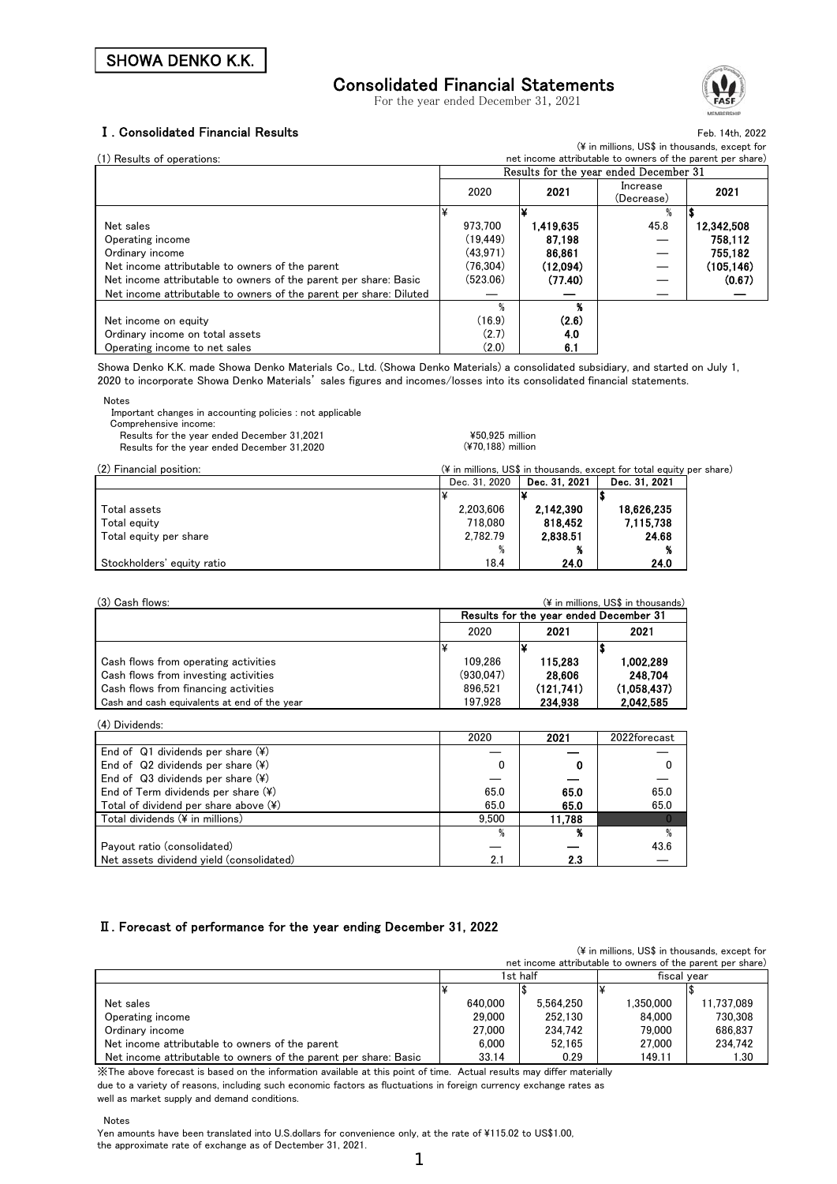## Consolidated Financial Statements

For the year ended December 31, 2021



#### Ⅰ. Consolidated Financial Results

Feb. 14th, 2022 (\ in millions, US\$ in thousands, except for

| (1) Results of operations:                                         | net income attributable to owners of the parent per share) |          |           |                                        |            |
|--------------------------------------------------------------------|------------------------------------------------------------|----------|-----------|----------------------------------------|------------|
|                                                                    |                                                            |          |           | Results for the year ended December 31 |            |
|                                                                    |                                                            | 2020     | 2021      | Increase                               | 2021       |
|                                                                    |                                                            |          |           | (Decrease)                             |            |
|                                                                    |                                                            |          |           |                                        |            |
| Net sales                                                          |                                                            | 973.700  | 1.419.635 | 45.8                                   | 12 342.508 |
| Operating income                                                   |                                                            | (19.449) | 87.198    |                                        | 758.112    |
| Ordinary income                                                    |                                                            | (43.971) | 86.861    |                                        | 755.182    |
| Net income attributable to owners of the parent                    |                                                            | (76.304) | (12.094)  |                                        | (105, 146) |
| Net income attributable to owners of the parent per share: Basic   |                                                            | (523.06) | (77.40)   |                                        | (0.67)     |
| Net income attributable to owners of the parent per share: Diluted |                                                            |          |           |                                        |            |
|                                                                    |                                                            |          | Q.        |                                        |            |
| Net income on equity                                               |                                                            | (16.9)   | (2.6)     |                                        |            |
| Ordinary income on total assets                                    |                                                            | (2.7)    | 4.0       |                                        |            |
| Operating income to net sales                                      |                                                            | (2.0)    | 6.1       |                                        |            |

Showa Denko K.K. made Showa Denko Materials Co., Ltd. (Showa Denko Materials) a consolidated subsidiary, and started on July 1, 2020 to incorporate Showa Denko Materials' sales figures and incomes/losses into its consolidated financial statements.

| <b>Notes</b>                                              |
|-----------------------------------------------------------|
| Important changes in accounting policies : not applicable |
| Comprehensive income:                                     |

Results for the year ended December 31,2021 **The State State State State State State State State State State State State State State State State State State State State State State State State State State State State State**  $R_{\text{F2020}}^{2020}$  (¥70,188) million

| Results for the year ended December 31 |  |
|----------------------------------------|--|
|                                        |  |

| (2) Financial position:    | (¥ in millions, US\$ in thousands, except for total equity per share) |               |               |  |  |
|----------------------------|-----------------------------------------------------------------------|---------------|---------------|--|--|
|                            | Dec. 31, 2020                                                         | Dec. 31, 2021 | Dec. 31, 2021 |  |  |
|                            |                                                                       |               |               |  |  |
| Total assets               | 2.203.606                                                             | 2,142,390     | 18,626,235    |  |  |
| Total equity               | 718.080                                                               | 818.452       | 7.115,738     |  |  |
| Total equity per share     | 2,782.79                                                              | 2,838.51      | 24.68         |  |  |
|                            |                                                                       |               |               |  |  |
| Stockholders' equity ratio | 18.4                                                                  | 24.0          | 24.0          |  |  |

| (3) Cash flows:                              |                                        |           | (¥ in millions, US\$ in thousands) |  |  |
|----------------------------------------------|----------------------------------------|-----------|------------------------------------|--|--|
|                                              | Results for the year ended December 31 |           |                                    |  |  |
|                                              | 2020                                   | 2021      | 2021                               |  |  |
|                                              |                                        |           |                                    |  |  |
| Cash flows from operating activities         | 109.286                                | 115.283   | 1,002,289                          |  |  |
| Cash flows from investing activities         | (930.047)                              | 28.606    | 248 704                            |  |  |
| Cash flows from financing activities         | 896.521                                | (121.741) | (1.058.437)                        |  |  |
| Cash and cash equivalents at end of the year | 197.928                                | 234.938   | 2.042.585                          |  |  |

(4) Dividends:

|                                                 | 2020  | 2021   | 2022forecast |
|-------------------------------------------------|-------|--------|--------------|
| End of Q1 dividends per share $(*)$             |       |        |              |
| End of $Q2$ dividends per share $(\frac{1}{2})$ |       |        |              |
| End of $Q3$ dividends per share $(\frac{1}{2})$ |       |        |              |
| End of Term dividends per share $(\frac{4}{3})$ | 65.0  | 65.0   | 65.0         |
| Total of dividend per share above $(*)$         | 65.0  | 65.0   | 65.0         |
| Total dividends (¥ in millions)                 | 9.500 | 11.788 |              |
|                                                 |       |        | %            |
| Payout ratio (consolidated)                     |       |        | 43.6         |
| Net assets dividend yield (consolidated)        | 2.1   | 2.3    |              |

#### Ⅱ. Forecast of performance for the year ending December 31, 2022

|                                                                  |         |           | (¥ in millions, US\$ in thousands, except for              |            |
|------------------------------------------------------------------|---------|-----------|------------------------------------------------------------|------------|
|                                                                  |         |           | net income attributable to owners of the parent per share) |            |
|                                                                  |         | 1st half  | fiscal vear                                                |            |
|                                                                  |         |           |                                                            |            |
| Net sales                                                        | 640.000 | 5.564.250 | 1.350.000                                                  | 11.737.089 |
| Operating income                                                 | 29,000  | 252.130   | 84,000                                                     | 730.308    |
| Ordinary income                                                  | 27.000  | 234.742   | 79.000                                                     | 686.837    |
| Net income attributable to owners of the parent                  | 6.000   | 52.165    | 27.000                                                     | 234.742    |
| Net income attributable to owners of the parent per share: Basic | 33.14   | 0.29      | 149.11                                                     | 1.30       |

※The above forecast is based on the information available at this point of time. Actual results may differ materially due to a variety of reasons, including such economic factors as fluctuations in foreign currency exchange rates as well as market supply and demand conditions.

Notes

Yen amounts have been translated into U.S.dollars for convenience only, at the rate of ¥115.02 to US\$1.00, the approximate rate of exchange as of Dectember 31, 2021.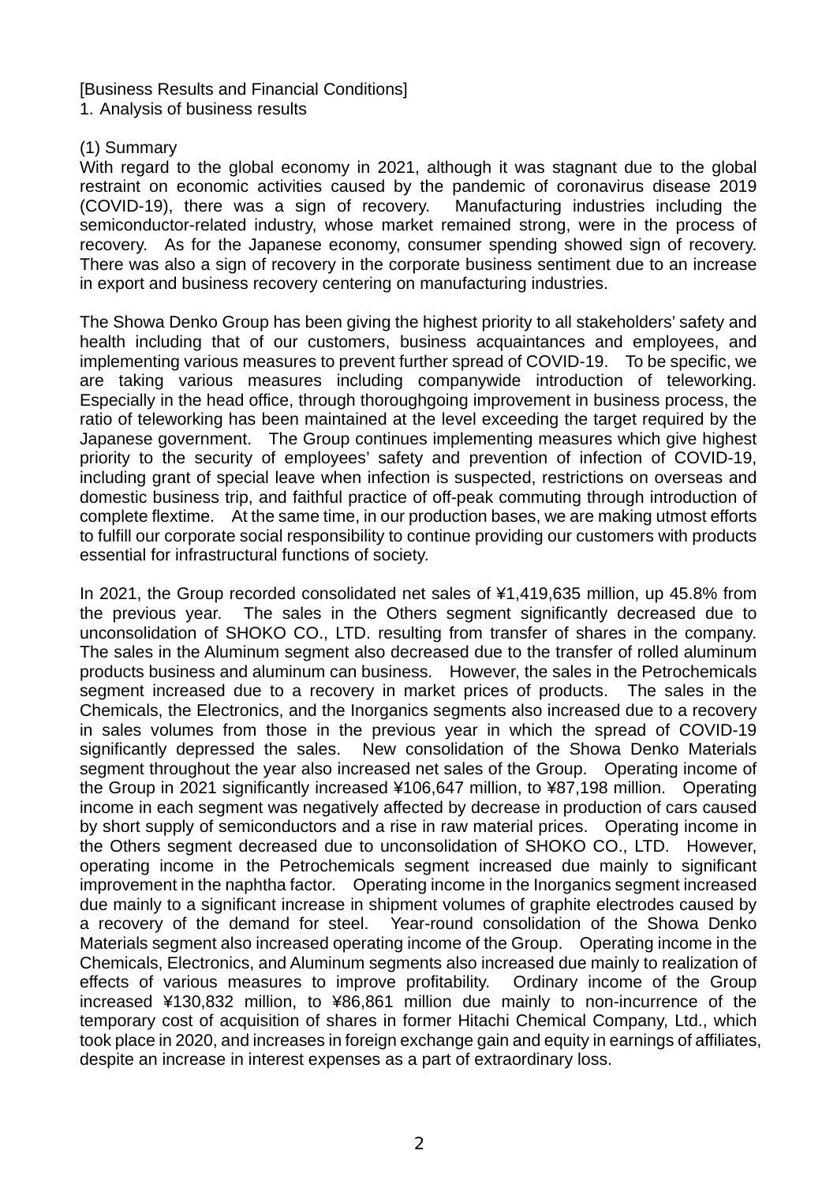# [Business Results and Financial Conditions]

1. Analysis of business results

## (1) Summary

With regard to the global economy in 2021, although it was stagnant due to the global restraint on economic activities caused by the pandemic of coronavirus disease 2019 (COVID-19), there was a sign of recovery. Manufacturing industries including the semiconductor-related industry, whose market remained strong, were in the process of recovery. As for the Japanese economy, consumer spending showed sign of recovery. There was also a sign of recovery in the corporate business sentiment due to an increase in export and business recovery centering on manufacturing industries.

The Showa Denko Group has been giving the highest priority to all stakeholders' safety and health including that of our customers, business acquaintances and employees, and implementing various measures to prevent further spread of COVID-19. To be specific, we are taking various measures including companywide introduction of teleworking. Especially in the head office, through thoroughgoing improvement in business process, the ratio of teleworking has been maintained at the level exceeding the target required by the Japanese government. The Group continues implementing measures which give highest priority to the security of employees' safety and prevention of infection of COVID-19, including grant of special leave when infection is suspected, restrictions on overseas and domestic business trip, and faithful practice of off-peak commuting through introduction of complete flextime. At the same time, in our production bases, we are making utmost efforts to fulfill our corporate social responsibility to continue providing our customers with products essential for infrastructural functions of society.

In 2021, the Group recorded consolidated net sales of ¥1,419,635 million, up 45.8% from the previous year. The sales in the Others segment significantly decreased due to unconsolidation of SHOKO CO., LTD. resulting from transfer of shares in the company. The sales in the Aluminum segment also decreased due to the transfer of rolled aluminum products business and aluminum can business. However, the sales in the Petrochemicals segment increased due to a recovery in market prices of products. The sales in the Chemicals, the Electronics, and the Inorganics segments also increased due to a recovery in sales volumes from those in the previous year in which the spread of COVID-19 significantly depressed the sales. New consolidation of the Showa Denko Materials segment throughout the year also increased net sales of the Group. Operating income of the Group in 2021 significantly increased ¥106,647 million, to ¥87,198 million. Operating income in each segment was negatively affected by decrease in production of cars caused by short supply of semiconductors and a rise in raw material prices. Operating income in the Others segment decreased due to unconsolidation of SHOKO CO., LTD. However, operating income in the Petrochemicals segment increased due mainly to significant improvement in the naphtha factor. Operating income in the Inorganics segment increased due mainly to a significant increase in shipment volumes of graphite electrodes caused by a recovery of the demand for steel. Year-round consolidation of the Showa Denko Materials segment also increased operating income of the Group. Operating income in the Chemicals, Electronics, and Aluminum segments also increased due mainly to realization of effects of various measures to improve profitability. Ordinary income of the Group increased ¥130,832 million, to ¥86,861 million due mainly to non-incurrence of the temporary cost of acquisition of shares in former Hitachi Chemical Company, Ltd., which took place in 2020, and increases in foreign exchange gain and equity in earnings of affiliates, despite an increase in interest expenses as a part of extraordinary loss.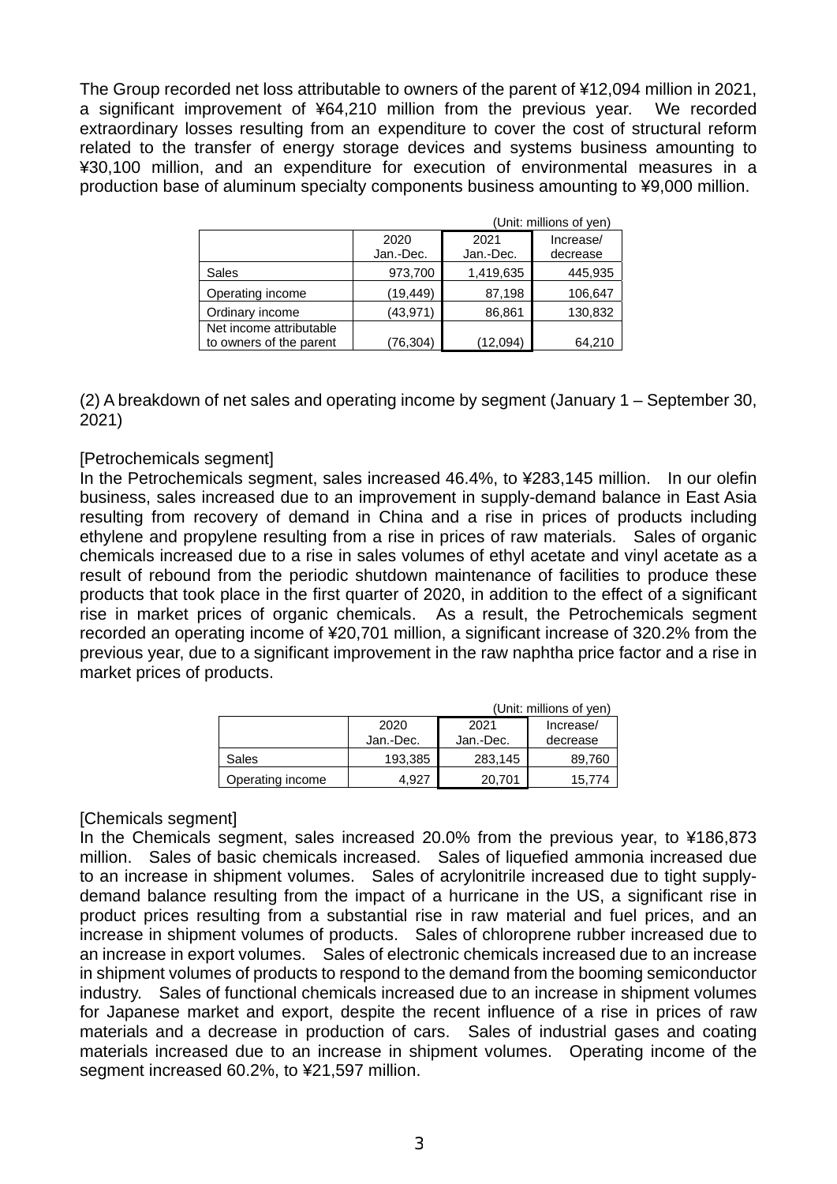The Group recorded net loss attributable to owners of the parent of ¥12,094 million in 2021, a significant improvement of ¥64,210 million from the previous year. We recorded extraordinary losses resulting from an expenditure to cover the cost of structural reform related to the transfer of energy storage devices and systems business amounting to ¥30,100 million, and an expenditure for execution of environmental measures in a production base of aluminum specialty components business amounting to ¥9,000 million.

|                                                    |                   |                   | (Unit: millions of yen) |
|----------------------------------------------------|-------------------|-------------------|-------------------------|
|                                                    | 2020<br>Jan.-Dec. | 2021<br>Jan.-Dec. | Increase/<br>decrease   |
| Sales                                              | 973,700           | 1,419,635         | 445,935                 |
| Operating income                                   | (19, 449)         | 87,198            | 106,647                 |
| Ordinary income                                    | (43, 971)         | 86,861            | 130,832                 |
| Net income attributable<br>to owners of the parent | 76,304)           | (12,094)          | 64,210                  |

(2) A breakdown of net sales and operating income by segment (January 1 – September 30, 2021)

## [Petrochemicals segment]

In the Petrochemicals segment, sales increased 46.4%, to ¥283,145 million. In our olefin business, sales increased due to an improvement in supply-demand balance in East Asia resulting from recovery of demand in China and a rise in prices of products including ethylene and propylene resulting from a rise in prices of raw materials. Sales of organic chemicals increased due to a rise in sales volumes of ethyl acetate and vinyl acetate as a result of rebound from the periodic shutdown maintenance of facilities to produce these products that took place in the first quarter of 2020, in addition to the effect of a significant rise in market prices of organic chemicals. As a result, the Petrochemicals segment recorded an operating income of ¥20,701 million, a significant increase of 320.2% from the previous year, due to a significant improvement in the raw naphtha price factor and a rise in market prices of products.

|                  |                   |                   | (Unit: millions of yen) |
|------------------|-------------------|-------------------|-------------------------|
|                  | 2020<br>Jan.-Dec. | 2021<br>Jan.-Dec. | Increase/<br>decrease   |
| Sales            | 193.385           | 283,145           | 89.760                  |
| Operating income | 4.927             | 20,701            | 15.774                  |

## [Chemicals segment]

In the Chemicals segment, sales increased 20.0% from the previous year, to ¥186,873 million. Sales of basic chemicals increased. Sales of liquefied ammonia increased due to an increase in shipment volumes. Sales of acrylonitrile increased due to tight supplydemand balance resulting from the impact of a hurricane in the US, a significant rise in product prices resulting from a substantial rise in raw material and fuel prices, and an increase in shipment volumes of products. Sales of chloroprene rubber increased due to an increase in export volumes. Sales of electronic chemicals increased due to an increase in shipment volumes of products to respond to the demand from the booming semiconductor industry. Sales of functional chemicals increased due to an increase in shipment volumes for Japanese market and export, despite the recent influence of a rise in prices of raw materials and a decrease in production of cars. Sales of industrial gases and coating materials increased due to an increase in shipment volumes. Operating income of the segment increased 60.2%, to ¥21,597 million.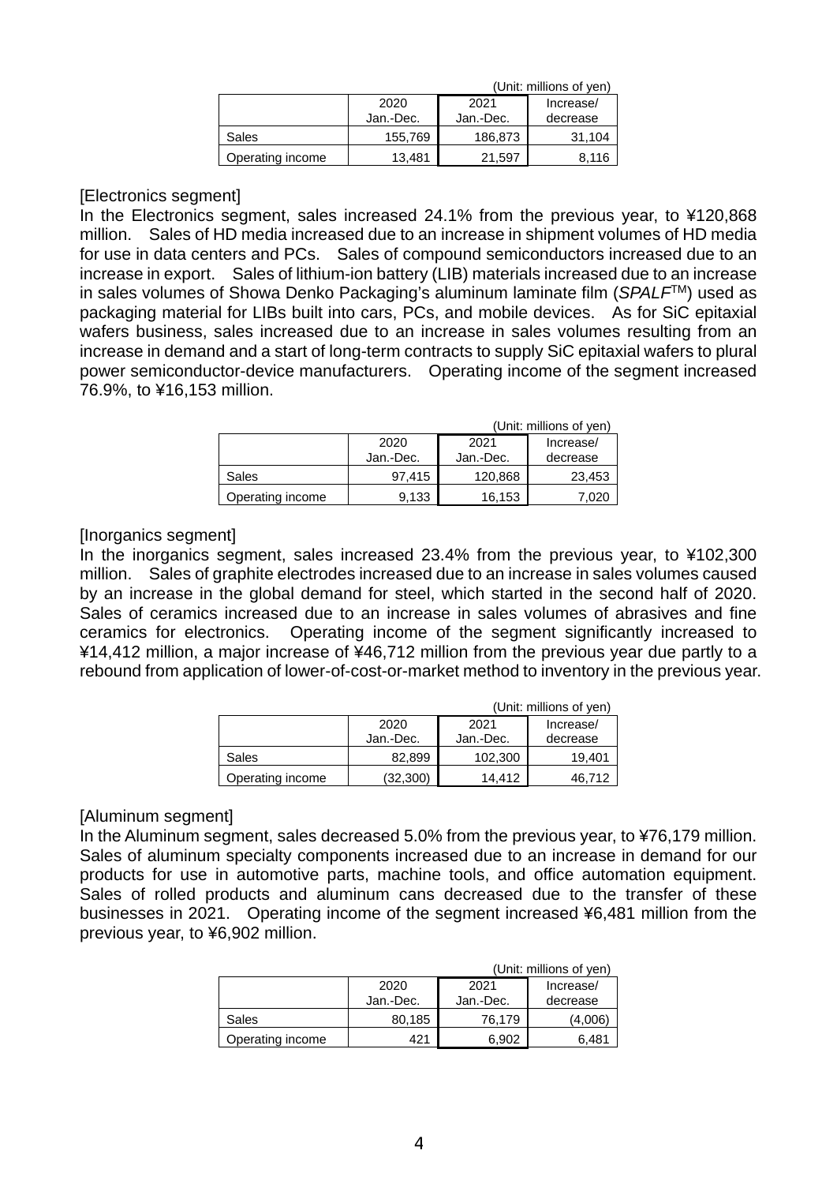|                  |           |           | (Unit: millions of yen) |
|------------------|-----------|-----------|-------------------------|
|                  | 2020      | 2021      | Increase/               |
|                  | Jan.-Dec. | Jan.-Dec. | decrease                |
| Sales            | 155,769   | 186,873   | 31.104                  |
| Operating income | 13,481    | 21.597    | 8.116                   |

## [Electronics segment]

In the Electronics segment, sales increased 24.1% from the previous year, to ¥120,868 million. Sales of HD media increased due to an increase in shipment volumes of HD media for use in data centers and PCs. Sales of compound semiconductors increased due to an increase in export. Sales of lithium-ion battery (LIB) materials increased due to an increase in sales volumes of Showa Denko Packaging's aluminum laminate film (*SPALF*TM) used as packaging material for LIBs built into cars, PCs, and mobile devices. As for SiC epitaxial wafers business, sales increased due to an increase in sales volumes resulting from an increase in demand and a start of long-term contracts to supply SiC epitaxial wafers to plural power semiconductor-device manufacturers. Operating income of the segment increased 76.9%, to ¥16,153 million.

|                  |           |           | (Unit: millions of yen) |
|------------------|-----------|-----------|-------------------------|
|                  | 2020      | 2021      | Increase/               |
|                  | Jan.-Dec. | Jan.-Dec. | decrease                |
| Sales            | 97.415    | 120,868   | 23,453                  |
| Operating income | 9,133     | 16,153    | 7020                    |

#### [Inorganics segment]

In the inorganics segment, sales increased 23.4% from the previous year, to ¥102,300 million. Sales of graphite electrodes increased due to an increase in sales volumes caused by an increase in the global demand for steel, which started in the second half of 2020. Sales of ceramics increased due to an increase in sales volumes of abrasives and fine ceramics for electronics. Operating income of the segment significantly increased to ¥14,412 million, a major increase of ¥46,712 million from the previous year due partly to a rebound from application of lower-of-cost-or-market method to inventory in the previous year.

|                  |           |           | (Unit: millions of yen) |
|------------------|-----------|-----------|-------------------------|
|                  | 2020      | 2021      | Increase/               |
|                  | Jan.-Dec. | Jan.-Dec. | decrease                |
| Sales            | 82.899    | 102.300   | 19.401                  |
| Operating income | (32, 300) | 14.412    | 46,712                  |

#### [Aluminum segment]

In the Aluminum segment, sales decreased 5.0% from the previous year, to ¥76,179 million. Sales of aluminum specialty components increased due to an increase in demand for our products for use in automotive parts, machine tools, and office automation equipment. Sales of rolled products and aluminum cans decreased due to the transfer of these businesses in 2021. Operating income of the segment increased ¥6,481 million from the previous year, to ¥6,902 million.

|                  |                   |                   | (Unit: millions of yen) |
|------------------|-------------------|-------------------|-------------------------|
|                  | 2020<br>Jan.-Dec. | 2021<br>Jan.-Dec. | Increase/<br>decrease   |
| Sales            | 80,185            | 76.179            | (4,006)                 |
| Operating income | 421               | 6.902             | 6,481                   |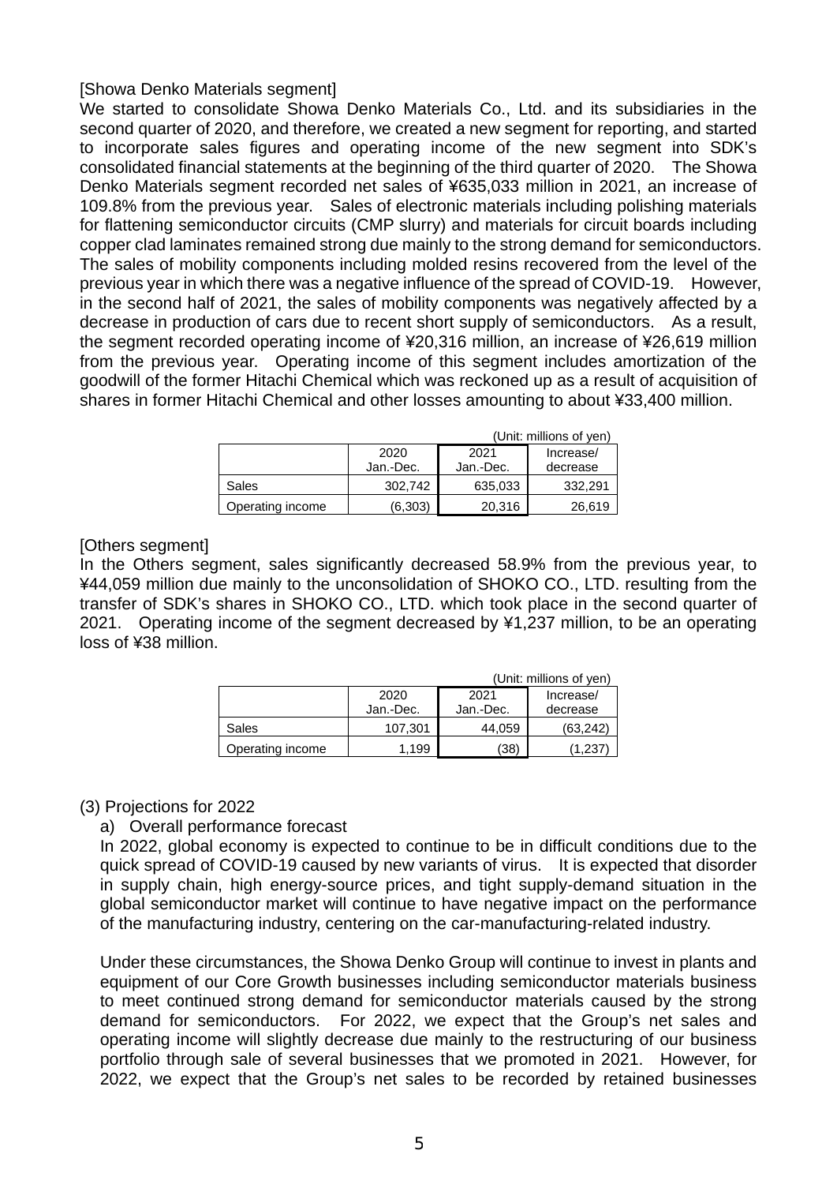## [Showa Denko Materials segment]

We started to consolidate Showa Denko Materials Co., Ltd. and its subsidiaries in the second quarter of 2020, and therefore, we created a new segment for reporting, and started to incorporate sales figures and operating income of the new segment into SDK's consolidated financial statements at the beginning of the third quarter of 2020. The Showa Denko Materials segment recorded net sales of ¥635,033 million in 2021, an increase of 109.8% from the previous year. Sales of electronic materials including polishing materials for flattening semiconductor circuits (CMP slurry) and materials for circuit boards including copper clad laminates remained strong due mainly to the strong demand for semiconductors. The sales of mobility components including molded resins recovered from the level of the previous year in which there was a negative influence of the spread of COVID-19. However, in the second half of 2021, the sales of mobility components was negatively affected by a decrease in production of cars due to recent short supply of semiconductors. As a result, the segment recorded operating income of ¥20,316 million, an increase of ¥26,619 million from the previous year. Operating income of this segment includes amortization of the goodwill of the former Hitachi Chemical which was reckoned up as a result of acquisition of shares in former Hitachi Chemical and other losses amounting to about ¥33,400 million.

|                  |           |           | (Unit: millions of yen) |
|------------------|-----------|-----------|-------------------------|
|                  | 2020      | 2021      | Increase/               |
|                  | Jan.-Dec. | Jan.-Dec. | decrease                |
| Sales            | 302.742   | 635,033   | 332.291                 |
| Operating income | (6,303)   | 20,316    | 26,619                  |

## [Others segment]

In the Others segment, sales significantly decreased 58.9% from the previous year, to ¥44,059 million due mainly to the unconsolidation of SHOKO CO., LTD. resulting from the transfer of SDK's shares in SHOKO CO., LTD. which took place in the second quarter of 2021. Operating income of the segment decreased by ¥1,237 million, to be an operating loss of ¥38 million.

|                  |           |           | (Unit: millions of yen) |
|------------------|-----------|-----------|-------------------------|
|                  | 2020      | 2021      | Increase/               |
|                  | Jan.-Dec. | Jan.-Dec. | decrease                |
| Sales            | 107.301   | 44.059    | (63.242)                |
| Operating income | .199      | (38)      | .237                    |

## (3) Projections for 2022

a) Overall performance forecast

In 2022, global economy is expected to continue to be in difficult conditions due to the quick spread of COVID-19 caused by new variants of virus. It is expected that disorder in supply chain, high energy-source prices, and tight supply-demand situation in the global semiconductor market will continue to have negative impact on the performance of the manufacturing industry, centering on the car-manufacturing-related industry.

Under these circumstances, the Showa Denko Group will continue to invest in plants and equipment of our Core Growth businesses including semiconductor materials business to meet continued strong demand for semiconductor materials caused by the strong demand for semiconductors. For 2022, we expect that the Group's net sales and operating income will slightly decrease due mainly to the restructuring of our business portfolio through sale of several businesses that we promoted in 2021. However, for 2022, we expect that the Group's net sales to be recorded by retained businesses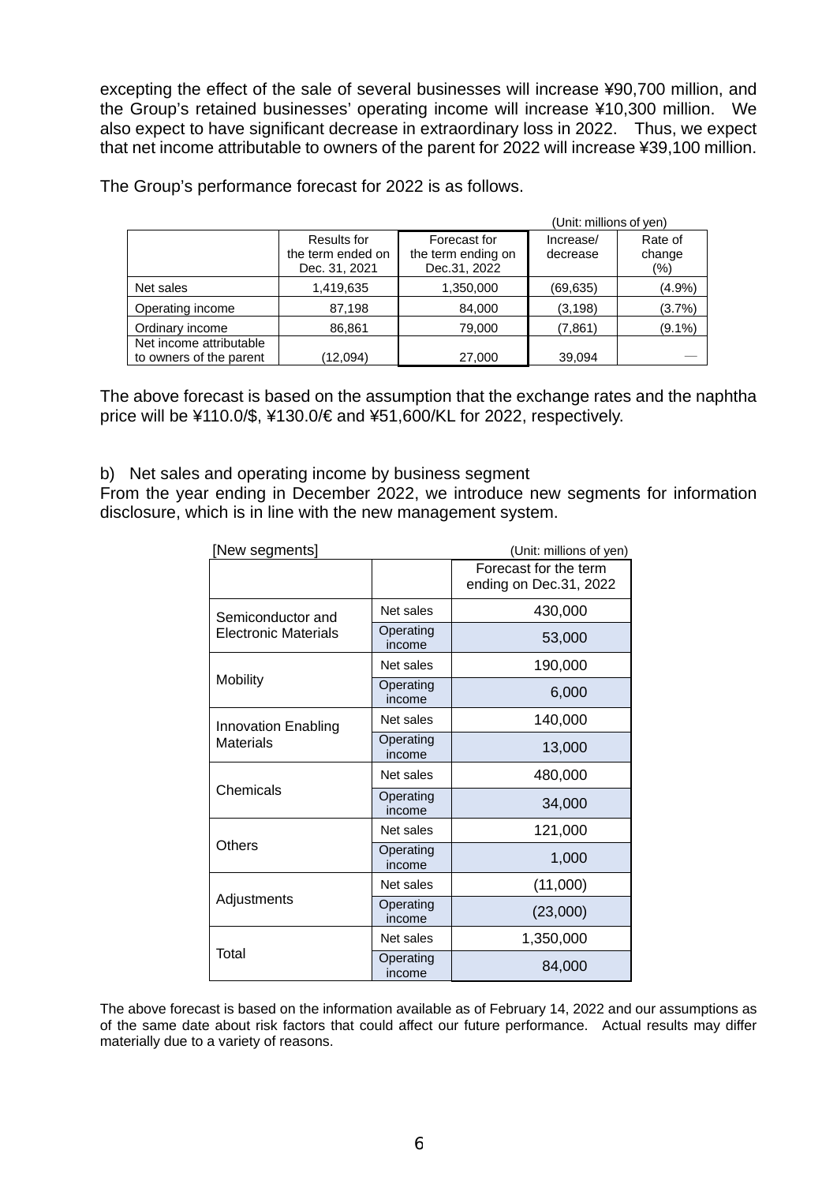excepting the effect of the sale of several businesses will increase ¥90,700 million, and the Group's retained businesses' operating income will increase ¥10,300 million. We also expect to have significant decrease in extraordinary loss in 2022. Thus, we expect that net income attributable to owners of the parent for 2022 will increase ¥39,100 million.

|                                                    |                                                   |                                                    | (Unit: millions of yen) |                           |
|----------------------------------------------------|---------------------------------------------------|----------------------------------------------------|-------------------------|---------------------------|
|                                                    | Results for<br>the term ended on<br>Dec. 31, 2021 | Forecast for<br>the term ending on<br>Dec.31, 2022 | Increase/<br>decrease   | Rate of<br>change<br>(% ) |
| Net sales                                          | 1,419,635                                         | 1,350,000                                          | (69, 635)               | $(4.9\%)$                 |
| Operating income                                   | 87,198                                            | 84,000                                             | (3, 198)                | (3.7%)                    |
| Ordinary income                                    | 86,861                                            | 79,000                                             | (7,861)                 | $(9.1\%)$                 |
| Net income attributable<br>to owners of the parent | (12,094)                                          | 27,000                                             | 39,094                  |                           |

The Group's performance forecast for 2022 is as follows.

The above forecast is based on the assumption that the exchange rates and the naphtha price will be ¥110.0/\$, ¥130.0/€ and ¥51,600/KL for 2022, respectively.

b) Net sales and operating income by business segment

From the year ending in December 2022, we introduce new segments for information disclosure, which is in line with the new management system.

| [New segments]              |                     | (Unit: millions of yen)                         |
|-----------------------------|---------------------|-------------------------------------------------|
|                             |                     | Forecast for the term<br>ending on Dec.31, 2022 |
| Semiconductor and           | Net sales           | 430,000                                         |
| <b>Electronic Materials</b> | Operating<br>income | 53,000                                          |
|                             | Net sales           | 190,000                                         |
| <b>Mobility</b>             | Operating<br>income | 6,000                                           |
| <b>Innovation Enabling</b>  | Net sales           | 140,000                                         |
| <b>Materials</b>            | Operating<br>income | 13,000                                          |
|                             | Net sales           | 480,000                                         |
| Chemicals                   | Operating<br>income | 34,000                                          |
|                             | Net sales           | 121,000                                         |
| Others                      | Operating<br>income | 1,000                                           |
|                             | Net sales           | (11,000)                                        |
| Adjustments                 | Operating<br>income | (23,000)                                        |
|                             | Net sales           | 1,350,000                                       |
| Total                       | Operating<br>income | 84,000                                          |

The above forecast is based on the information available as of February 14, 2022 and our assumptions as of the same date about risk factors that could affect our future performance. Actual results may differ materially due to a variety of reasons.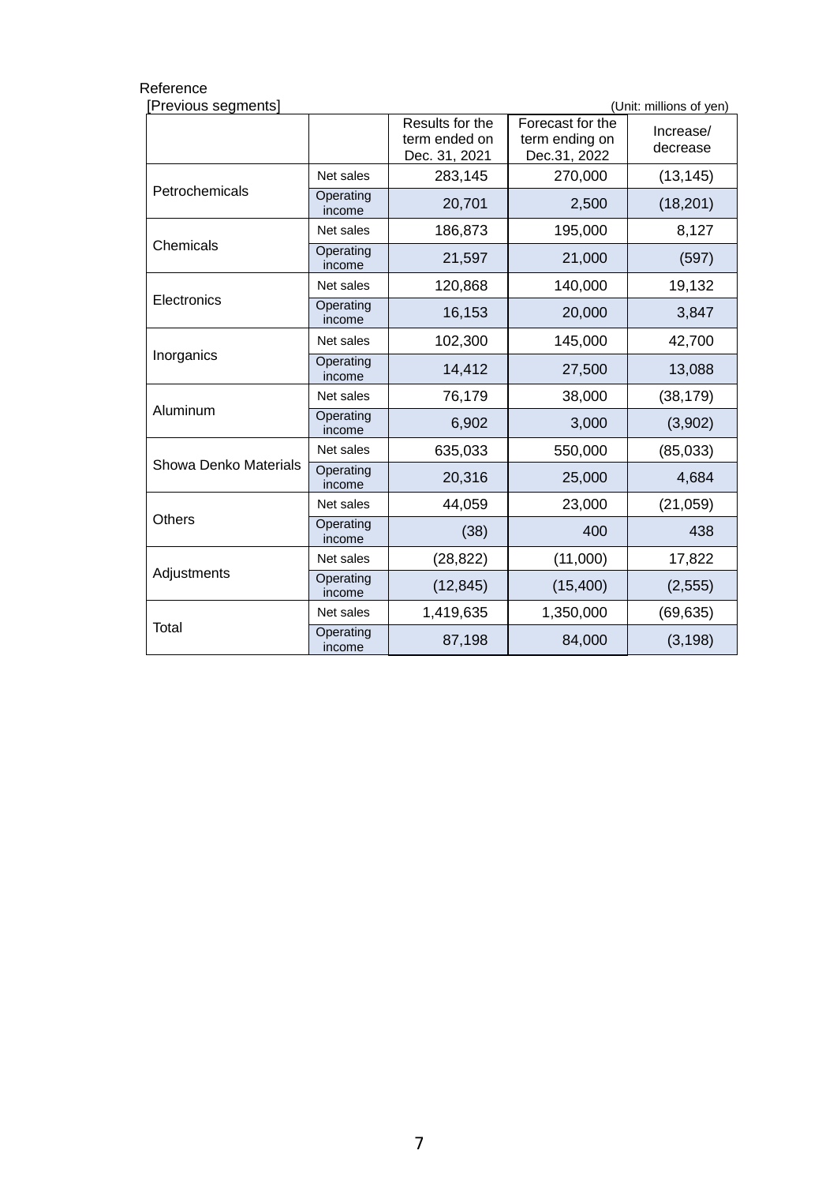| Previous segments]<br>(Unit: millions of yen) |                     |                                                   |                                                    |                       |  |  |  |
|-----------------------------------------------|---------------------|---------------------------------------------------|----------------------------------------------------|-----------------------|--|--|--|
|                                               |                     | Results for the<br>term ended on<br>Dec. 31, 2021 | Forecast for the<br>term ending on<br>Dec.31, 2022 | Increase/<br>decrease |  |  |  |
|                                               | Net sales           | 283,145                                           | 270,000                                            | (13, 145)             |  |  |  |
| Petrochemicals                                | Operating<br>income | 20,701                                            | 2,500                                              | (18, 201)             |  |  |  |
|                                               | Net sales           | 186,873                                           | 195,000                                            | 8,127                 |  |  |  |
| Chemicals                                     | Operating<br>income | 21,597                                            | 21,000                                             | (597)                 |  |  |  |
|                                               | Net sales           | 120,868                                           | 140,000                                            | 19,132                |  |  |  |
| Electronics                                   | Operating<br>income | 16,153                                            | 20,000                                             | 3,847                 |  |  |  |
| Inorganics                                    | Net sales           | 102,300                                           | 145,000                                            | 42,700                |  |  |  |
|                                               | Operating<br>income | 14,412                                            | 27,500                                             | 13,088                |  |  |  |
|                                               | Net sales           | 76,179                                            | 38,000                                             | (38, 179)             |  |  |  |
| Aluminum                                      | Operating<br>income | 6,902                                             | 3,000                                              | (3,902)               |  |  |  |
|                                               | Net sales           | 635,033                                           | 550,000                                            | (85, 033)             |  |  |  |
| <b>Showa Denko Materials</b>                  | Operating<br>income | 20,316                                            | 25,000                                             | 4,684                 |  |  |  |
|                                               | Net sales           | 44,059                                            | 23,000                                             | (21, 059)             |  |  |  |
| <b>Others</b>                                 | Operating<br>income | (38)                                              | 400                                                | 438                   |  |  |  |
|                                               | Net sales           | (28, 822)                                         | (11,000)                                           | 17,822                |  |  |  |
| Adjustments                                   | Operating<br>income | (12, 845)                                         | (15, 400)                                          | (2, 555)              |  |  |  |
|                                               | Net sales           | 1,419,635                                         | 1,350,000                                          | (69, 635)             |  |  |  |
| <b>Total</b>                                  | Operating<br>income | 87,198                                            | 84,000                                             | (3, 198)              |  |  |  |

#### Reference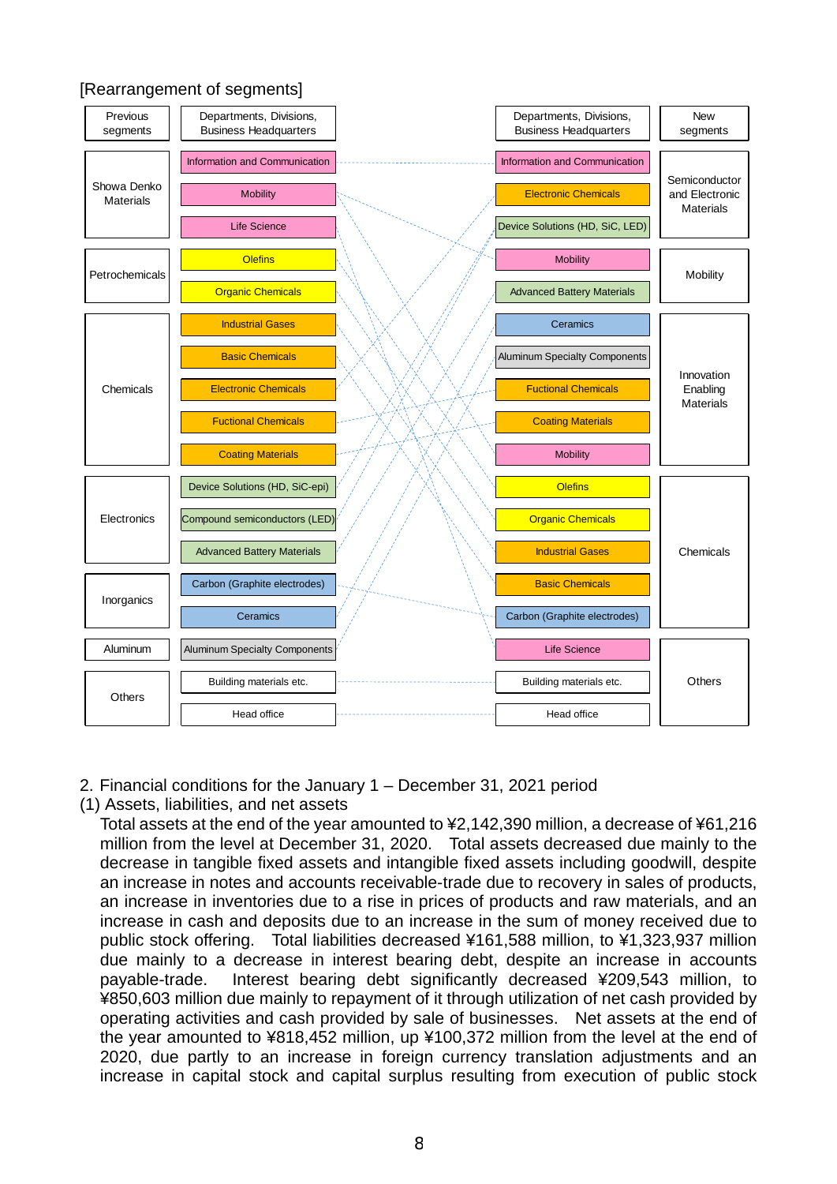## [Rearrangement of segments]



- 2. Financial conditions for the January 1 December 31, 2021 period
- (1) Assets, liabilities, and net assets

Total assets at the end of the year amounted to ¥2,142,390 million, a decrease of ¥61,216 million from the level at December 31, 2020. Total assets decreased due mainly to the decrease in tangible fixed assets and intangible fixed assets including goodwill, despite an increase in notes and accounts receivable-trade due to recovery in sales of products, an increase in inventories due to a rise in prices of products and raw materials, and an increase in cash and deposits due to an increase in the sum of money received due to public stock offering. Total liabilities decreased ¥161,588 million, to ¥1,323,937 million due mainly to a decrease in interest bearing debt, despite an increase in accounts payable-trade. Interest bearing debt significantly decreased ¥209,543 million, to ¥850,603 million due mainly to repayment of it through utilization of net cash provided by operating activities and cash provided by sale of businesses. Net assets at the end of the year amounted to ¥818,452 million, up ¥100,372 million from the level at the end of 2020, due partly to an increase in foreign currency translation adjustments and an increase in capital stock and capital surplus resulting from execution of public stock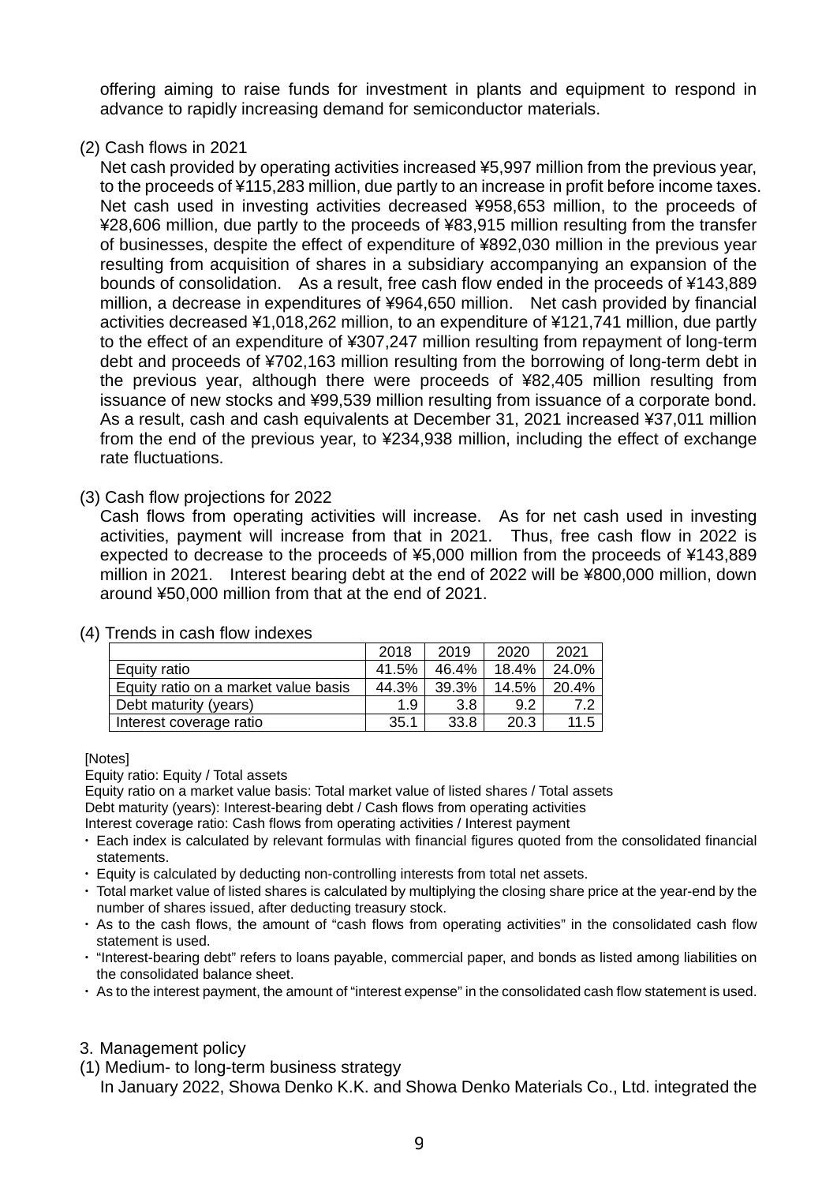offering aiming to raise funds for investment in plants and equipment to respond in advance to rapidly increasing demand for semiconductor materials.

(2) Cash flows in 2021

Net cash provided by operating activities increased ¥5,997 million from the previous year, to the proceeds of ¥115,283 million, due partly to an increase in profit before income taxes. Net cash used in investing activities decreased ¥958,653 million, to the proceeds of ¥28,606 million, due partly to the proceeds of ¥83,915 million resulting from the transfer of businesses, despite the effect of expenditure of ¥892,030 million in the previous year resulting from acquisition of shares in a subsidiary accompanying an expansion of the bounds of consolidation. As a result, free cash flow ended in the proceeds of ¥143,889 million, a decrease in expenditures of ¥964,650 million. Net cash provided by financial activities decreased ¥1,018,262 million, to an expenditure of ¥121,741 million, due partly to the effect of an expenditure of ¥307,247 million resulting from repayment of long-term debt and proceeds of ¥702,163 million resulting from the borrowing of long-term debt in the previous year, although there were proceeds of ¥82,405 million resulting from issuance of new stocks and ¥99,539 million resulting from issuance of a corporate bond. As a result, cash and cash equivalents at December 31, 2021 increased ¥37,011 million from the end of the previous year, to ¥234,938 million, including the effect of exchange rate fluctuations.

(3) Cash flow projections for 2022

Cash flows from operating activities will increase. As for net cash used in investing activities, payment will increase from that in 2021. Thus, free cash flow in 2022 is expected to decrease to the proceeds of ¥5,000 million from the proceeds of ¥143,889 million in 2021. Interest bearing debt at the end of 2022 will be ¥800,000 million, down around ¥50,000 million from that at the end of 2021.

|                                      | 2018  | 2019  | 2020  | 2021  |
|--------------------------------------|-------|-------|-------|-------|
| Equity ratio                         | 41.5% | 46.4% | 18.4% | 24.0% |
| Equity ratio on a market value basis | 44.3% | 39.3% | 14.5% | 20.4% |
| Debt maturity (years)                | 1.9   | 3.8   | 9.2   | 7.2   |
| Interest coverage ratio              | 35.1  | 33.8  | 20.3  | 11.5  |

## (4) Trends in cash flow indexes

#### [Notes]

Equity ratio: Equity / Total assets

Equity ratio on a market value basis: Total market value of listed shares / Total assets Debt maturity (years): Interest-bearing debt / Cash flows from operating activities

Interest coverage ratio: Cash flows from operating activities / Interest payment

- ・ Each index is calculated by relevant formulas with financial figures quoted from the consolidated financial statements.
- ・ Equity is calculated by deducting non-controlling interests from total net assets.
- ・ Total market value of listed shares is calculated by multiplying the closing share price at the year-end by the number of shares issued, after deducting treasury stock.
- ・ As to the cash flows, the amount of "cash flows from operating activities" in the consolidated cash flow statement is used.
- ・ "Interest-bearing debt" refers to loans payable, commercial paper, and bonds as listed among liabilities on the consolidated balance sheet.
- ・ As to the interest payment, the amount of "interest expense" in the consolidated cash flow statement is used.

## 3. Management policy

(1) Medium- to long-term business strategy

In January 2022, Showa Denko K.K. and Showa Denko Materials Co., Ltd. integrated the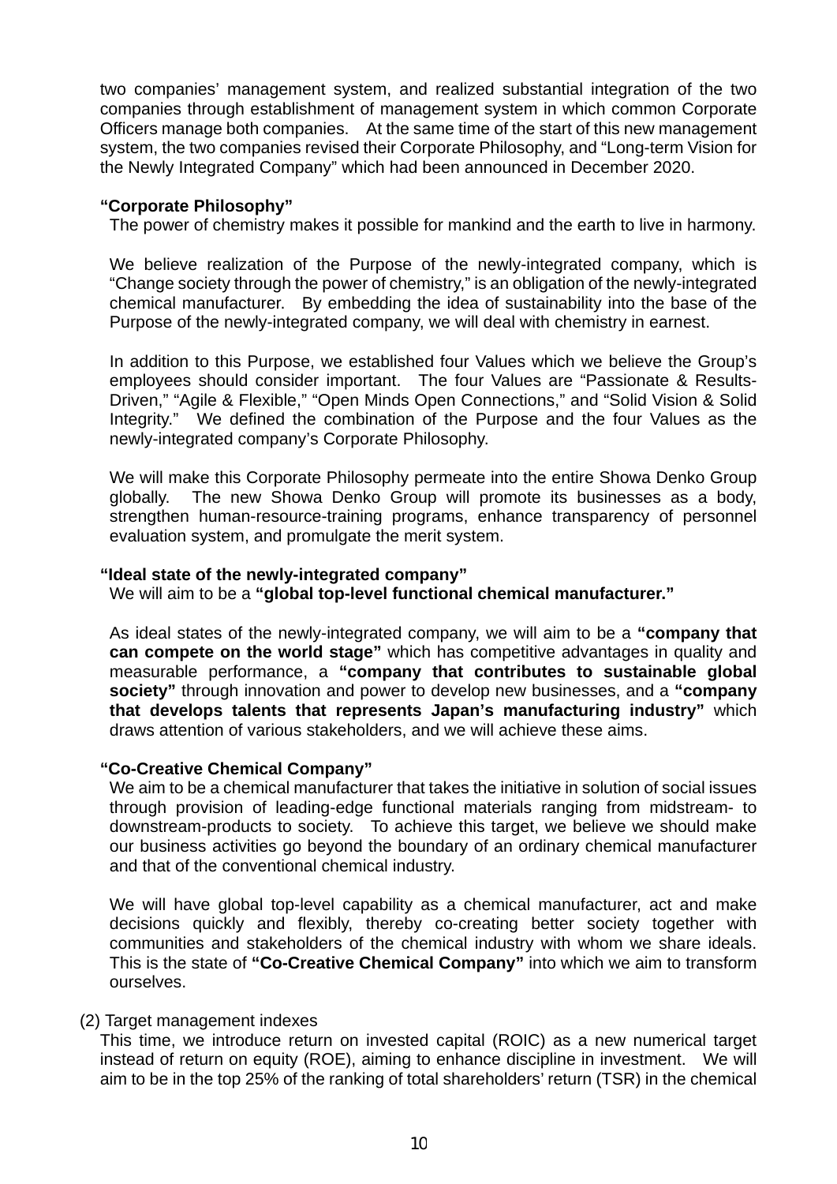two companies' management system, and realized substantial integration of the two companies through establishment of management system in which common Corporate Officers manage both companies. At the same time of the start of this new management system, the two companies revised their Corporate Philosophy, and "Long-term Vision for the Newly Integrated Company" which had been announced in December 2020.

## **"Corporate Philosophy"**

The power of chemistry makes it possible for mankind and the earth to live in harmony.

We believe realization of the Purpose of the newly-integrated company, which is "Change society through the power of chemistry," is an obligation of the newly-integrated chemical manufacturer. By embedding the idea of sustainability into the base of the Purpose of the newly-integrated company, we will deal with chemistry in earnest.

In addition to this Purpose, we established four Values which we believe the Group's employees should consider important. The four Values are "Passionate & Results-Driven," "Agile & Flexible," "Open Minds Open Connections," and "Solid Vision & Solid Integrity." We defined the combination of the Purpose and the four Values as the newly-integrated company's Corporate Philosophy.

We will make this Corporate Philosophy permeate into the entire Showa Denko Group globally. The new Showa Denko Group will promote its businesses as a body, strengthen human-resource-training programs, enhance transparency of personnel evaluation system, and promulgate the merit system.

#### **"Ideal state of the newly-integrated company"**

We will aim to be a **"global top-level functional chemical manufacturer."** 

As ideal states of the newly-integrated company, we will aim to be a **"company that can compete on the world stage"** which has competitive advantages in quality and measurable performance, a **"company that contributes to sustainable global society"** through innovation and power to develop new businesses, and a **"company that develops talents that represents Japan's manufacturing industry"** which draws attention of various stakeholders, and we will achieve these aims.

#### **"Co-Creative Chemical Company"**

We aim to be a chemical manufacturer that takes the initiative in solution of social issues through provision of leading-edge functional materials ranging from midstream- to downstream-products to society. To achieve this target, we believe we should make our business activities go beyond the boundary of an ordinary chemical manufacturer and that of the conventional chemical industry.

We will have global top-level capability as a chemical manufacturer, act and make decisions quickly and flexibly, thereby co-creating better society together with communities and stakeholders of the chemical industry with whom we share ideals. This is the state of **"Co-Creative Chemical Company"** into which we aim to transform ourselves.

#### (2) Target management indexes

This time, we introduce return on invested capital (ROIC) as a new numerical target instead of return on equity (ROE), aiming to enhance discipline in investment. We will aim to be in the top 25% of the ranking of total shareholders' return (TSR) in the chemical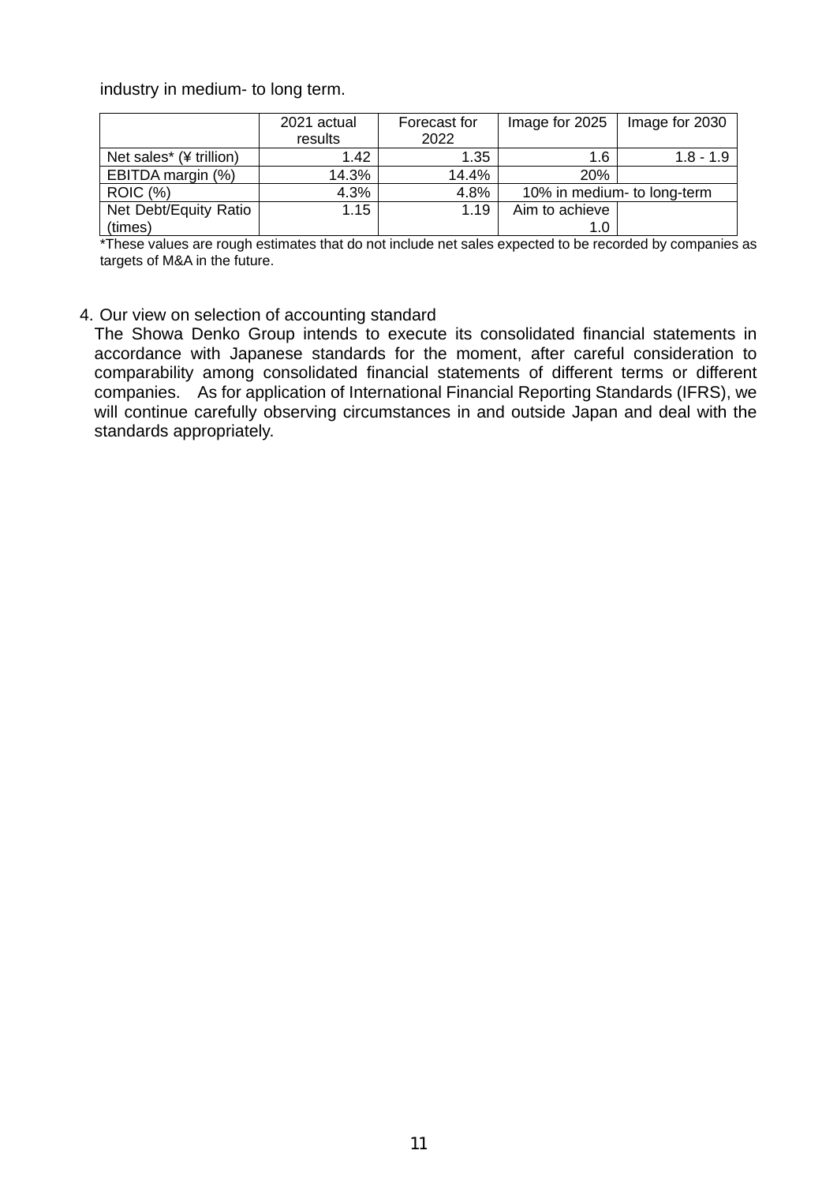industry in medium- to long term.

|                         | 2021 actual | Forecast for | Image for 2025              | Image for 2030 |
|-------------------------|-------------|--------------|-----------------------------|----------------|
|                         | results     | 2022         |                             |                |
| Net sales* (¥ trillion) | 1.42        | 1.35         | 1.6                         | $1.8 - 1.9$    |
| EBITDA margin (%)       | 14.3%       | 14.4%        | 20%                         |                |
| <b>ROIC (%)</b>         | 4.3%        | 4.8%         | 10% in medium- to long-term |                |
| Net Debt/Equity Ratio   | 1.15        | 1.19         | Aim to achieve              |                |
| (times)                 |             |              | 1.0                         |                |

\*These values are rough estimates that do not include net sales expected to be recorded by companies as targets of M&A in the future.

## 4. Our view on selection of accounting standard

The Showa Denko Group intends to execute its consolidated financial statements in accordance with Japanese standards for the moment, after careful consideration to comparability among consolidated financial statements of different terms or different companies. As for application of International Financial Reporting Standards (IFRS), we will continue carefully observing circumstances in and outside Japan and deal with the standards appropriately.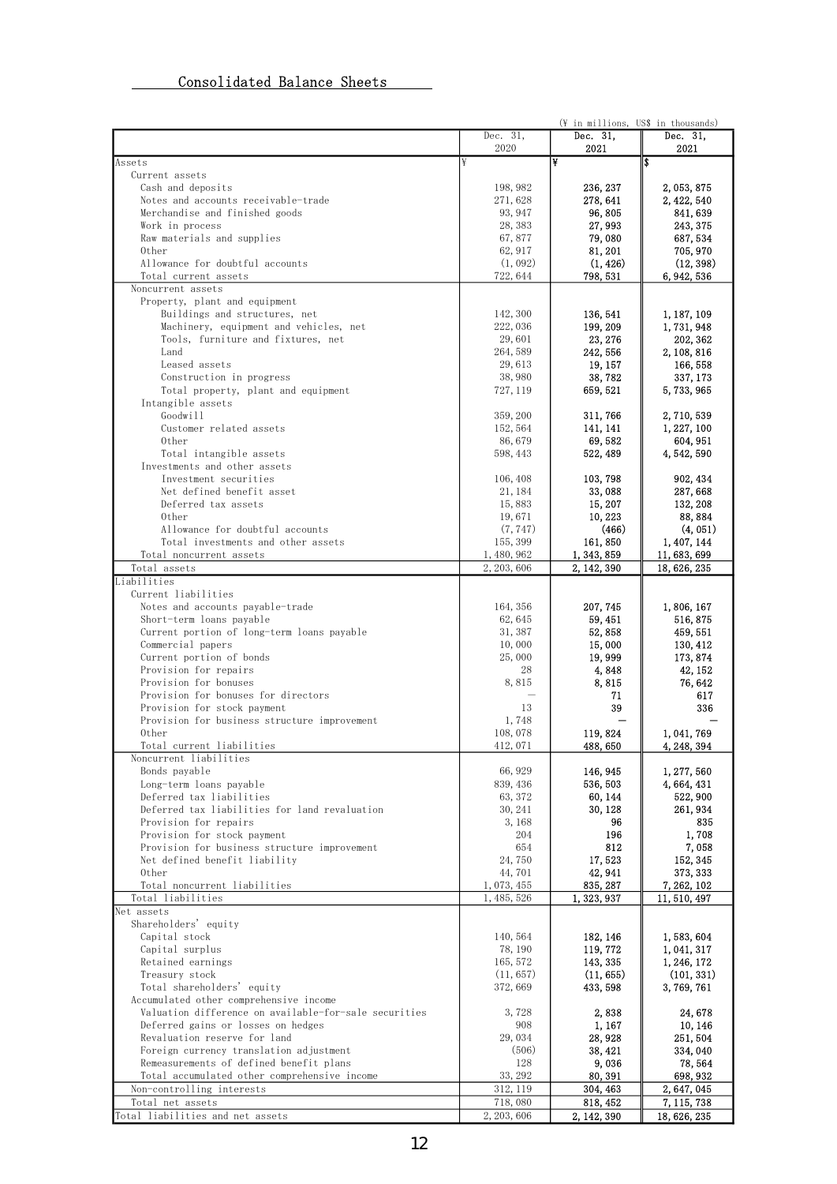# Consolidated Balance Sheets

|                                                                         |                       | (¥ in millions, US\$ in thousands) |                           |
|-------------------------------------------------------------------------|-----------------------|------------------------------------|---------------------------|
|                                                                         | Dec. 31,              | Dec. 31,                           | Dec. 31,                  |
|                                                                         | 2020                  | 2021                               | 2021                      |
| Assets                                                                  | ¥                     | ¥                                  | ls                        |
| Current assets<br>Cash and deposits                                     | 198, 982              | 236, 237                           | 2, 053, 875               |
| Notes and accounts receivable-trade                                     | 271,628               | 278, 641                           | 2, 422, 540               |
| Merchandise and finished goods                                          | 93, 947               | 96,805                             | 841, 639                  |
| Work in process                                                         | 28, 383               | 27, 993                            | 243, 375                  |
| Raw materials and supplies                                              | 67,877                | 79,080                             | 687, 534                  |
| 0ther                                                                   | 62, 917               | 81, 201                            | 705, 970                  |
| Allowance for doubtful accounts                                         | (1, 092)              | (1, 426)                           | (12, 398)                 |
| Total current assets                                                    | 722, 644              | 798, 531                           | 6, 942, 536               |
| Noncurrent assets                                                       |                       |                                    |                           |
| Property, plant and equipment                                           |                       |                                    |                           |
| Buildings and structures, net<br>Machinery, equipment and vehicles, net | 142, 300<br>222,036   | 136, 541<br>199, 209               | 1, 187, 109<br>1,731,948  |
| Tools, furniture and fixtures, net                                      | 29,601                | 23, 276                            | 202, 362                  |
| Land                                                                    | 264,589               | 242, 556                           | 2, 108, 816               |
| Leased assets                                                           | 29,613                | 19, 157                            | 166, 558                  |
| Construction in progress                                                | 38,980                | 38,782                             | 337, 173                  |
| Total property, plant and equipment                                     | 727, 119              | 659, 521                           | 5, 733, 965               |
| Intangible assets                                                       |                       |                                    |                           |
| Goodwill                                                                | 359, 200              | 311, 766                           | 2, 710, 539               |
| Customer related assets                                                 | 152, 564              | 141, 141                           | 1, 227, 100               |
| Other                                                                   | 86,679                | 69,582                             | 604, 951                  |
| Total intangible assets                                                 | 598, 443              | 522, 489                           | 4, 542, 590               |
| Investments and other assets                                            |                       |                                    |                           |
| Investment securities                                                   | 106, 408              | 103, 798                           | 902, 434                  |
| Net defined benefit asset<br>Deferred tax assets                        | 21, 184               | 33,088                             | 287,668                   |
| 0ther                                                                   | 15,883<br>19,671      | 15, 207<br>10, 223                 | 132, 208<br>88, 884       |
| Allowance for doubtful accounts                                         | (7, 747)              | (466)                              | (4, 051)                  |
| Total investments and other assets                                      | 155, 399              | 161, 850                           | 1, 407, 144               |
| Total noncurrent assets                                                 | 1, 480, 962           | 1, 343, 859                        | 11, 683, 699              |
| Total assets                                                            | 2, 203, 606           | 2, 142, 390                        | 18, 626, 235              |
| Liabilities                                                             |                       |                                    |                           |
| Current liabilities                                                     |                       |                                    |                           |
| Notes and accounts payable-trade                                        | 164, 356              | 207, 745                           | 1,806,167                 |
| Short-term loans payable                                                | 62, 645               | 59, 451                            | 516, 875                  |
| Current portion of long-term loans payable                              | 31, 387               | 52,858                             | 459, 551                  |
| Commercial papers                                                       | 10,000                | 15,000                             | 130, 412                  |
| Current portion of bonds                                                | 25,000                | 19, 999                            | 173, 874                  |
| Provision for repairs<br>Provision for bonuses                          | 28<br>8,815           | 4,848<br>8,815                     | 42, 152<br>76, 642        |
| Provision for bonuses for directors                                     |                       | 71                                 | 617                       |
| Provision for stock payment                                             | 13                    | 39                                 | 336                       |
| Provision for business structure improvement                            | 1,748                 |                                    |                           |
| 0ther                                                                   | 108,078               | 119, 824                           | 1, 041, 769               |
| Total current liabilities                                               | 412, 071              | 488, 650                           | 4, 248, 394               |
| Noncurrent liabilities                                                  |                       |                                    |                           |
| Bonds payable                                                           | 66, 929               | 146, 945                           | 1, 277, 560               |
| Long-term loans payable                                                 | 839, 436              | 536, 503                           | 4, 664, 431               |
| Deferred tax liabilities                                                | 63, 372               | 60, 144                            | 522, 900                  |
| Deferred tax liabilities for land revaluation<br>Provision for repairs  | 30, 241<br>3, 168     | 30, 128                            | 261, 934<br>835           |
| Provision for stock payment                                             | 204                   | 96<br>196                          | 1,708                     |
| Provision for business structure improvement                            | 654                   | 812                                | 7,058                     |
| Net defined benefit liability                                           | 24,750                | 17,523                             | 152, 345                  |
| 0ther                                                                   | 44,701                | 42, 941                            | 373, 333                  |
| Total noncurrent liabilities                                            | 1, 073, 455           | 835, 287                           | 7, 262, 102               |
| Total liabilities                                                       | 1, 485, 526           | 1, 323, 937                        | 11, 510, 497              |
| Net assets                                                              |                       |                                    |                           |
| Shareholders' equity                                                    |                       |                                    |                           |
| Capital stock                                                           | 140, 564              | 182, 146                           | 1,583,604                 |
| Capital surplus                                                         | 78, 190               | 119, 772                           | 1, 041, 317               |
| Retained earnings<br>Treasury stock                                     | 165, 572<br>(11, 657) | 143, 335<br>(11, 655)              | 1, 246, 172<br>(101, 331) |
| Total shareholders' equity                                              | 372, 669              | 433, 598                           | 3, 769, 761               |
| Accumulated other comprehensive income                                  |                       |                                    |                           |
| Valuation difference on available-for-sale securities                   | 3,728                 | 2,838                              | 24, 678                   |
| Deferred gains or losses on hedges                                      | 908                   | 1, 167                             | 10, 146                   |
| Revaluation reserve for land                                            | 29, 034               | 28, 928                            | 251, 504                  |
| Foreign currency translation adjustment                                 | (506)                 | 38, 421                            | 334, 040                  |
| Remeasurements of defined benefit plans                                 | 128                   | 9,036                              | 78, 564                   |
| Total accumulated other comprehensive income                            | 33, 292               | 80, 391                            | 698, 932                  |
| Non-controlling interests                                               | 312, 119              | 304, 463                           | 2, 647, 045               |
| Total net assets                                                        | 718,080               | 818, 452                           | 7, 115, 738               |
| Total liabilities and net assets                                        | 2, 203, 606           | 2, 142, 390                        | 18, 626, 235              |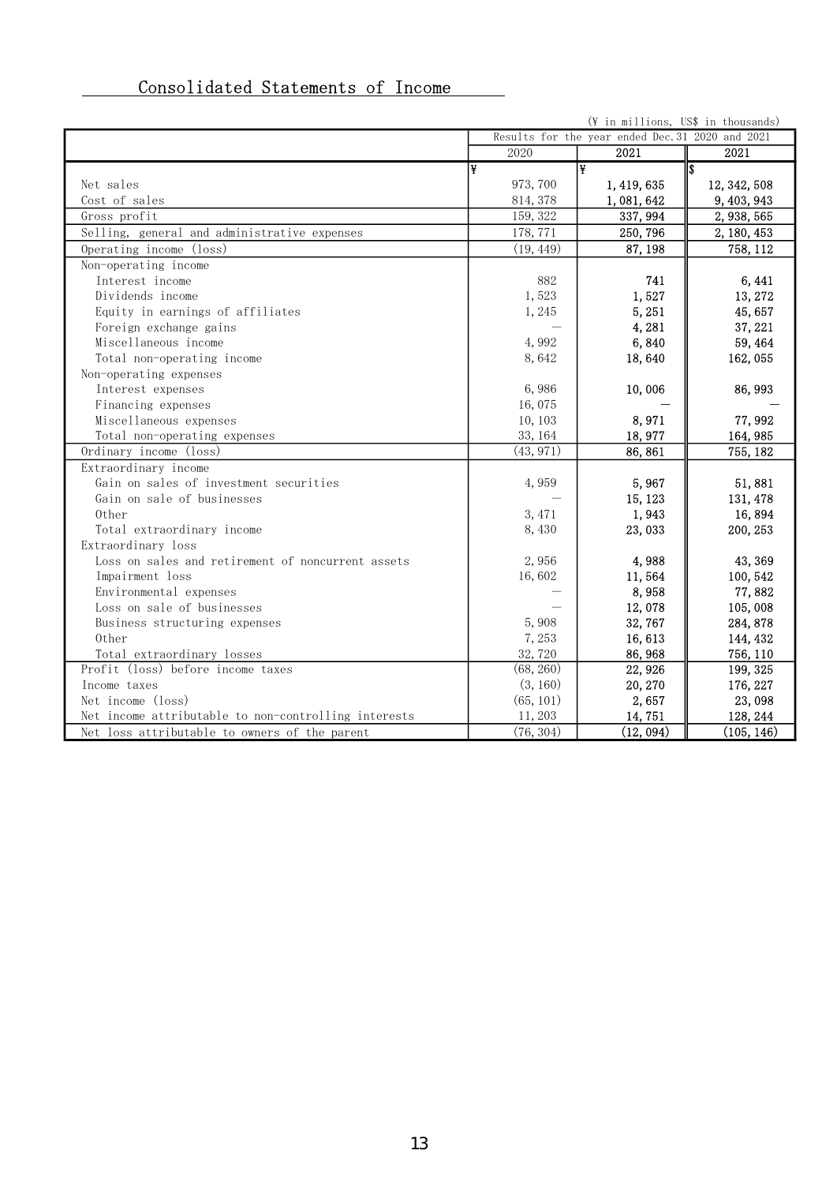| Consolidated Statements of Income |  |  |
|-----------------------------------|--|--|
|                                   |  |  |

|                                                      |           | (¥ in millions, US\$ in thousands)               |              |
|------------------------------------------------------|-----------|--------------------------------------------------|--------------|
|                                                      |           | Results for the year ended Dec. 31 2020 and 2021 |              |
|                                                      | 2020      | 2021                                             | 2021         |
|                                                      | ¥         | l¥.                                              | \$           |
| Net sales                                            | 973, 700  | 1, 419, 635                                      | 12, 342, 508 |
| Cost of sales                                        | 814, 378  | 1,081,642                                        | 9, 403, 943  |
| Gross profit                                         | 159, 322  | 337, 994                                         | 2, 938, 565  |
| Selling, general and administrative expenses         | 178, 771  | 250, 796                                         | 2, 180, 453  |
| Operating income (loss)                              | (19, 449) | 87, 198                                          | 758, 112     |
| Non-operating income                                 |           |                                                  |              |
| Interest income                                      | 882       | 741                                              | 6, 441       |
| Dividends income                                     | 1,523     | 1,527                                            | 13, 272      |
| Equity in earnings of affiliates                     | 1,245     | 5, 251                                           | 45,657       |
| Foreign exchange gains                               |           | 4,281                                            | 37, 221      |
| Miscellaneous income                                 | 4,992     | 6,840                                            | 59, 464      |
| Total non-operating income                           | 8,642     | 18,640                                           | 162, 055     |
| Non-operating expenses                               |           |                                                  |              |
| Interest expenses                                    | 6,986     | 10,006                                           | 86, 993      |
| Financing expenses                                   | 16,075    |                                                  |              |
| Miscellaneous expenses                               | 10, 103   | 8,971                                            | 77,992       |
| Total non-operating expenses                         | 33, 164   | 18,977                                           | 164, 985     |
| Ordinary income (loss)                               | (43, 971) | 86,861                                           | 755, 182     |
| Extraordinary income                                 |           |                                                  |              |
| Gain on sales of investment securities               | 4,959     | 5,967                                            | 51,881       |
| Gain on sale of businesses                           |           | 15, 123                                          | 131, 478     |
| Other                                                | 3, 471    | 1,943                                            | 16,894       |
| Total extraordinary income                           | 8,430     | 23,033                                           | 200, 253     |
| Extraordinary loss                                   |           |                                                  |              |
| Loss on sales and retirement of noncurrent assets    | 2,956     | 4,988                                            | 43, 369      |
| Impairment loss                                      | 16,602    | 11,564                                           | 100, 542     |
| Environmental expenses                               |           | 8,958                                            | 77,882       |
| Loss on sale of businesses                           |           | 12,078                                           | 105,008      |
| Business structuring expenses                        | 5,908     | 32,767                                           | 284, 878     |
| 0ther                                                | 7,253     | 16,613                                           | 144, 432     |
| Total extraordinary losses                           | 32,720    | 86, 968                                          | 756, 110     |
| Profit (loss) before income taxes                    | (68, 260) | 22, 926                                          | 199, 325     |
| Income taxes                                         | (3, 160)  | 20, 270                                          | 176, 227     |
| Net income (loss)                                    | (65, 101) | 2,657                                            | 23,098       |
| Net income attributable to non-controlling interests | 11, 203   | 14,751                                           | 128, 244     |
| Net loss attributable to owners of the parent        | (76, 304) | (12, 094)                                        | (105, 146)   |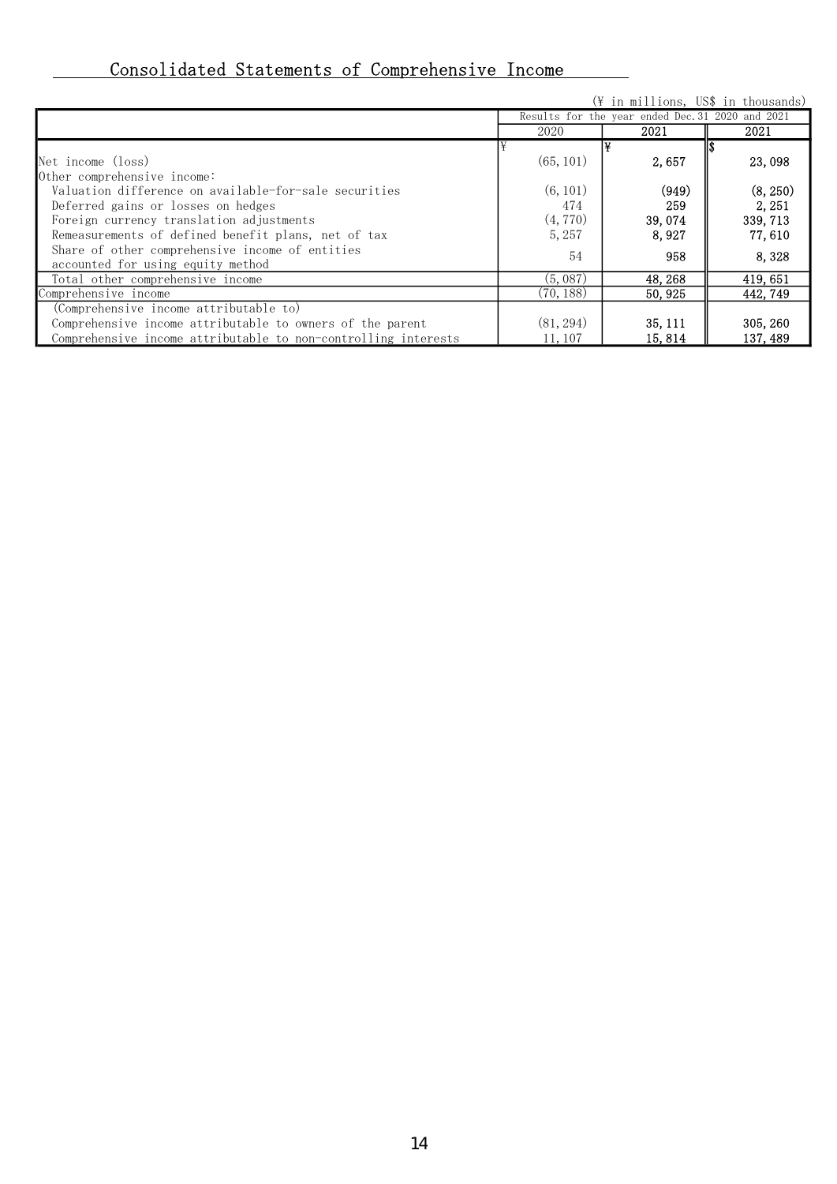# Consolidated Statements of Comprehensive Income

|                                                                |           | $(\frac{4}{3})$ in millions, US\$ in thousands)  |          |  |  |
|----------------------------------------------------------------|-----------|--------------------------------------------------|----------|--|--|
|                                                                |           | Results for the year ended Dec. 31 2020 and 2021 |          |  |  |
|                                                                | 2020      | 2021                                             | 2021     |  |  |
|                                                                |           |                                                  |          |  |  |
| Net income (loss)                                              | (65, 101) | 2,657                                            | 23,098   |  |  |
| Other comprehensive income:                                    |           |                                                  |          |  |  |
| Valuation difference on available-for-sale securities          | (6, 101)  | (949)                                            | (8, 250) |  |  |
| Deferred gains or losses on hedges                             | 474       | 259                                              | 2, 251   |  |  |
| Foreign currency translation adjustments                       | (4, 770)  | 39,074                                           | 339, 713 |  |  |
| Remeasurements of defined benefit plans, net of tax            | 5, 257    | 8.927                                            | 77,610   |  |  |
| Share of other comprehensive income of entities                | 54        | 958                                              | 8,328    |  |  |
| accounted for using equity method                              |           |                                                  |          |  |  |
| Total other comprehensive income                               | (5,087)   | 48, 268                                          | 419, 651 |  |  |
| Comprehensive income                                           | (70, 188) | 50, 925                                          | 442, 749 |  |  |
| (Comprehensive income attributable to)                         |           |                                                  |          |  |  |
| Comprehensive income attributable to owners of the parent      | (81, 294) | 35, 111                                          | 305, 260 |  |  |
| Comprehensive income attributable to non-controlling interests | 11, 107   | 15, 814                                          | 137, 489 |  |  |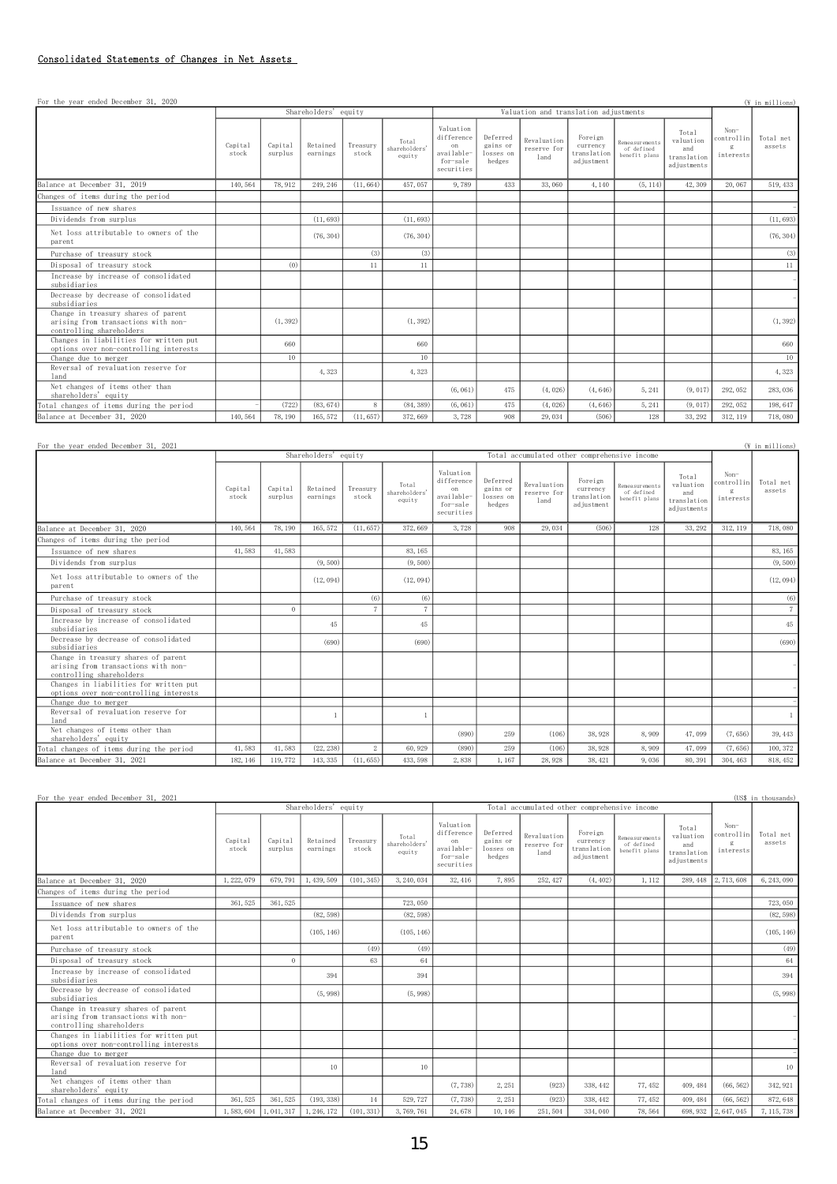#### Consolidated Statements of Changes in Net Assets

| For the year ended December 31, 2020                                                                   |                  |                    |                      |                   |                                  |                                                                       |                                             |                                       |                                                  |                                               |                                                         |                                        | (¥ in millions)     |
|--------------------------------------------------------------------------------------------------------|------------------|--------------------|----------------------|-------------------|----------------------------------|-----------------------------------------------------------------------|---------------------------------------------|---------------------------------------|--------------------------------------------------|-----------------------------------------------|---------------------------------------------------------|----------------------------------------|---------------------|
|                                                                                                        |                  |                    | Shareholders' equity |                   |                                  |                                                                       |                                             | Valuation and translation adjustments |                                                  |                                               |                                                         |                                        |                     |
|                                                                                                        | Capital<br>stock | Capital<br>surplus | Retained<br>earnings | Treasury<br>stock | Total<br>shareholders'<br>equity | Valuation<br>difference<br>on<br>available-<br>for-sale<br>securities | Deferred<br>gains or<br>losses on<br>hedges | Revaluation<br>reserve for<br>land    | Foreign<br>currency<br>translation<br>adjustment | Remeasurements<br>of defined<br>benefit plans | Total<br>valuation<br>and<br>translation<br>adjustments | $Non-$<br>controllin<br>g<br>interests | Total net<br>assets |
| Balance at December 31, 2019                                                                           | 140, 564         | 78.912             | 249, 246             | (11, 664)         | 457, 057                         | 9,789                                                                 | 433                                         | 33,060                                | 4,140                                            | (5, 114)                                      | 42,309                                                  | 20,067                                 | 519, 433            |
| Changes of items during the period                                                                     |                  |                    |                      |                   |                                  |                                                                       |                                             |                                       |                                                  |                                               |                                                         |                                        |                     |
| Issuance of new shares                                                                                 |                  |                    |                      |                   |                                  |                                                                       |                                             |                                       |                                                  |                                               |                                                         |                                        |                     |
| Dividends from surplus                                                                                 |                  |                    | (11, 693)            |                   | (11, 693)                        |                                                                       |                                             |                                       |                                                  |                                               |                                                         |                                        | (11, 693)           |
| Net loss attributable to owners of the<br>parent                                                       |                  |                    | (76, 304)            |                   | (76, 304)                        |                                                                       |                                             |                                       |                                                  |                                               |                                                         |                                        | (76, 304)           |
| Purchase of treasury stock                                                                             |                  |                    |                      | (3)               | (3)                              |                                                                       |                                             |                                       |                                                  |                                               |                                                         |                                        | (3)                 |
| Disposal of treasury stock                                                                             |                  | (0)                |                      | 11                | 11                               |                                                                       |                                             |                                       |                                                  |                                               |                                                         |                                        | 11                  |
| Increase by increase of consolidated<br>subsidiaries                                                   |                  |                    |                      |                   |                                  |                                                                       |                                             |                                       |                                                  |                                               |                                                         |                                        |                     |
| Decrease by decrease of consolidated<br>subsidiaries                                                   |                  |                    |                      |                   |                                  |                                                                       |                                             |                                       |                                                  |                                               |                                                         |                                        |                     |
| Change in treasury shares of parent<br>arising from transactions with non-<br>controlling shareholders |                  | (1, 392)           |                      |                   | (1, 392)                         |                                                                       |                                             |                                       |                                                  |                                               |                                                         |                                        | (1, 392)            |
| Changes in liabilities for written put<br>options over non-controlling interests                       |                  | 660                |                      |                   | 660                              |                                                                       |                                             |                                       |                                                  |                                               |                                                         |                                        | 660                 |
| Change due to merger                                                                                   |                  | 10 <sup>°</sup>    |                      |                   | 10                               |                                                                       |                                             |                                       |                                                  |                                               |                                                         |                                        | $10\,$              |
| Reversal of revaluation reserve for<br>1 <sub>and</sub>                                                |                  |                    | 4,323                |                   | 4,323                            |                                                                       |                                             |                                       |                                                  |                                               |                                                         |                                        | 4,323               |
| Net changes of items other than<br>shareholders' equity                                                |                  |                    |                      |                   |                                  | (6, 061)                                                              | 475                                         | (4, 026)                              | (4, 646)                                         | 5, 241                                        | (9, 017)                                                | 292, 052                               | 283, 036            |
| Total changes of items during the period                                                               |                  | (722)              | (83, 674)            | 8                 | (84, 389)                        | (6, 061)                                                              | 475                                         | (4, 026)                              | (4, 646)                                         | 5, 241                                        | (9, 017)                                                | 292, 052                               | 198, 647            |
| Balance at December 31, 2020                                                                           | 140, 564         | 78, 190            | 165, 572             | (11, 657)         | 372, 669                         | 3,728                                                                 | 908                                         | 29,034                                | (506)                                            | 128                                           | 33, 292                                                 | 312, 119                               | 718,080             |

| For the year ended December 31, 2021                                                                   |                  |                    |                      |                   |                                  |                                                                       |                                             |                                              |                                                  |                                                      |                                                         |                                        | (¥ in millions)     |
|--------------------------------------------------------------------------------------------------------|------------------|--------------------|----------------------|-------------------|----------------------------------|-----------------------------------------------------------------------|---------------------------------------------|----------------------------------------------|--------------------------------------------------|------------------------------------------------------|---------------------------------------------------------|----------------------------------------|---------------------|
|                                                                                                        |                  |                    | Shareholders' equity |                   |                                  |                                                                       |                                             | Total accumulated other comprehensive income |                                                  |                                                      |                                                         |                                        |                     |
|                                                                                                        | Capital<br>stock | Capital<br>surplus | Retained<br>earnings | Treasurv<br>stock | Total<br>shareholders'<br>equity | Valuation<br>difference<br>on<br>available-<br>for-sale<br>securities | Deferred<br>gains or<br>losses on<br>hedges | Revaluation<br>reserve for<br>land           | Foreign<br>currency<br>translation<br>adjustment | <b>Remeasurements</b><br>of defined<br>benefit plans | Total<br>valuation<br>and<br>translation<br>adjustments | $Non-$<br>controllin<br>g<br>interests | Total net<br>assets |
| Balance at December 31, 2020                                                                           | 140, 564         | 78, 190            | 165, 572             | (11, 657)         | 372,669                          | 3,728                                                                 | 908                                         | 29,034                                       | (506)                                            | 128                                                  | 33, 292                                                 | 312, 119                               | 718,080             |
| Changes of items during the period                                                                     |                  |                    |                      |                   |                                  |                                                                       |                                             |                                              |                                                  |                                                      |                                                         |                                        |                     |
| Issuance of new shares                                                                                 | 41,583           | 41,583             |                      |                   | 83, 165                          |                                                                       |                                             |                                              |                                                  |                                                      |                                                         |                                        | 83, 165             |
| Dividends from surplus                                                                                 |                  |                    | (9, 500)             |                   | (9, 500)                         |                                                                       |                                             |                                              |                                                  |                                                      |                                                         |                                        | (9, 500)            |
| Net loss attributable to owners of the<br>parent                                                       |                  |                    | (12, 094)            |                   | (12, 094)                        |                                                                       |                                             |                                              |                                                  |                                                      |                                                         |                                        | (12, 094)           |
| Purchase of treasury stock                                                                             |                  |                    |                      | (6)               | (6)                              |                                                                       |                                             |                                              |                                                  |                                                      |                                                         |                                        | (6)                 |
| Disposal of treasury stock                                                                             |                  | $\Omega$           |                      |                   |                                  |                                                                       |                                             |                                              |                                                  |                                                      |                                                         |                                        | $\tau$              |
| Increase by increase of consolidated<br>subsidiaries                                                   |                  |                    | 45                   |                   | 45                               |                                                                       |                                             |                                              |                                                  |                                                      |                                                         |                                        | 45                  |
| Decrease by decrease of consolidated<br>subsidiaries                                                   |                  |                    | (690)                |                   | (690)                            |                                                                       |                                             |                                              |                                                  |                                                      |                                                         |                                        | (690)               |
| Change in treasury shares of parent<br>arising from transactions with non-<br>controlling shareholders |                  |                    |                      |                   |                                  |                                                                       |                                             |                                              |                                                  |                                                      |                                                         |                                        |                     |
| Changes in liabilities for written put<br>options over non-controlling interests                       |                  |                    |                      |                   |                                  |                                                                       |                                             |                                              |                                                  |                                                      |                                                         |                                        |                     |
| Change due to merger                                                                                   |                  |                    |                      |                   |                                  |                                                                       |                                             |                                              |                                                  |                                                      |                                                         |                                        |                     |
| Reversal of revaluation reserve for<br>1and                                                            |                  |                    |                      |                   |                                  |                                                                       |                                             |                                              |                                                  |                                                      |                                                         |                                        |                     |
| Net changes of items other than<br>shareholders' equity                                                |                  |                    |                      |                   |                                  | (890)                                                                 | 259                                         | (106)                                        | 38,928                                           | 8,909                                                | 47,099                                                  | (7, 656)                               | 39, 443             |
| Total changes of items during the period                                                               | 41,583           | 41,583             | (22, 238)            | $\overline{2}$    | 60, 929                          | (890)                                                                 | 259                                         | (106)                                        | 38, 928                                          | 8,909                                                | 47,099                                                  | (7, 656)                               | 100, 372            |
| Balance at December 31, 2021                                                                           | 182, 146         | 119, 772           | 143, 335             | (11, 655)         | 433, 598                         | 2,838                                                                 | 1,167                                       | 28,928                                       | 38, 421                                          | 9,036                                                | 80, 391                                                 | 304, 463                               | 818, 452            |

| For the year ended December 31, 2021                                                                   |                  |                    |                      |                   |                                  |                                                                       |                                             |                                              |                                                  |                                               |                                                         |                                                   | (US\$ in thousands) |
|--------------------------------------------------------------------------------------------------------|------------------|--------------------|----------------------|-------------------|----------------------------------|-----------------------------------------------------------------------|---------------------------------------------|----------------------------------------------|--------------------------------------------------|-----------------------------------------------|---------------------------------------------------------|---------------------------------------------------|---------------------|
|                                                                                                        |                  |                    | Shareholders' equity |                   |                                  |                                                                       |                                             | Total accumulated other comprehensive income |                                                  |                                               |                                                         |                                                   |                     |
|                                                                                                        | Capital<br>stock | Capital<br>surplus | Retained<br>earnings | Treasurv<br>stock | Total<br>shareholders'<br>equity | Valuation<br>difference<br>on<br>available-<br>for-sale<br>securities | Deferred<br>gains or<br>losses on<br>hedges | Revaluation<br>reserve for<br>land           | Foreign<br>currency<br>translation<br>adjustment | Remeasurements<br>of defined<br>benefit plans | Total<br>valuation<br>and<br>translation<br>adjustments | $Non-$<br>controllin<br>$\mathbf{g}$<br>interests | Total net<br>assets |
| Balance at December 31, 2020                                                                           | 1, 222, 079      | 679, 791           | 1, 439, 509          | (101, 345)        | 3, 240, 034                      | 32, 416                                                               | 7,895                                       | 252, 427                                     | (4, 402)                                         | 1, 112                                        | 289, 448                                                | 2, 713, 608                                       | 6, 243, 090         |
| Changes of items during the period                                                                     |                  |                    |                      |                   |                                  |                                                                       |                                             |                                              |                                                  |                                               |                                                         |                                                   |                     |
| Issuance of new shares                                                                                 | 361, 525         | 361, 525           |                      |                   | 723, 050                         |                                                                       |                                             |                                              |                                                  |                                               |                                                         |                                                   | 723, 050            |
| Dividends from surplus                                                                                 |                  |                    | (82, 598)            |                   | (82, 598)                        |                                                                       |                                             |                                              |                                                  |                                               |                                                         |                                                   | (82, 598)           |
| Net loss attributable to owners of the<br>parent                                                       |                  |                    | (105, 146)           |                   | (105, 146)                       |                                                                       |                                             |                                              |                                                  |                                               |                                                         |                                                   | (105, 146)          |
| Purchase of treasury stock                                                                             |                  |                    |                      | (49)              | (49)                             |                                                                       |                                             |                                              |                                                  |                                               |                                                         |                                                   | (49)                |
| Disposal of treasury stock                                                                             |                  | $\Omega$           |                      | 63                | 64                               |                                                                       |                                             |                                              |                                                  |                                               |                                                         |                                                   | 64                  |
| Increase by increase of consolidated<br>subsidiaries                                                   |                  |                    | 394                  |                   | 394                              |                                                                       |                                             |                                              |                                                  |                                               |                                                         |                                                   | 394                 |
| Decrease by decrease of consolidated<br>subsidiaries                                                   |                  |                    | (5, 998)             |                   | (5, 998)                         |                                                                       |                                             |                                              |                                                  |                                               |                                                         |                                                   | (5, 998)            |
| Change in treasury shares of parent<br>arising from transactions with non-<br>controlling shareholders |                  |                    |                      |                   |                                  |                                                                       |                                             |                                              |                                                  |                                               |                                                         |                                                   |                     |
| Changes in liabilities for written put<br>options over non-controlling interests                       |                  |                    |                      |                   |                                  |                                                                       |                                             |                                              |                                                  |                                               |                                                         |                                                   |                     |
| Change due to merger                                                                                   |                  |                    |                      |                   |                                  |                                                                       |                                             |                                              |                                                  |                                               |                                                         |                                                   |                     |
| Reversal of revaluation reserve for<br>1and                                                            |                  |                    | 10                   |                   | 10                               |                                                                       |                                             |                                              |                                                  |                                               |                                                         |                                                   | 10                  |
| Net changes of items other than<br>shareholders' equity                                                |                  |                    |                      |                   |                                  | (7, 738)                                                              | 2.251                                       | (923)                                        | 338, 442                                         | 77, 452                                       | 409, 484                                                | (66, 562)                                         | 342, 921            |
| Total changes of items during the period                                                               | 361, 525         | 361, 525           | (193, 338)           | 14                | 529, 727                         | (7, 738)                                                              | 2,251                                       | (923)                                        | 338, 442                                         | 77, 452                                       | 409, 484                                                | (66, 562)                                         | 872, 648            |
| Balance at December 31, 2021                                                                           | 1,583,604        | 1,041,317          | 1, 246, 172          | (101, 331)        | 3, 769, 761                      | 24,678                                                                | 10, 146                                     | 251, 504                                     | 334, 040                                         | 78,564                                        |                                                         | 698, 932   2, 647, 045                            | 7, 115, 738         |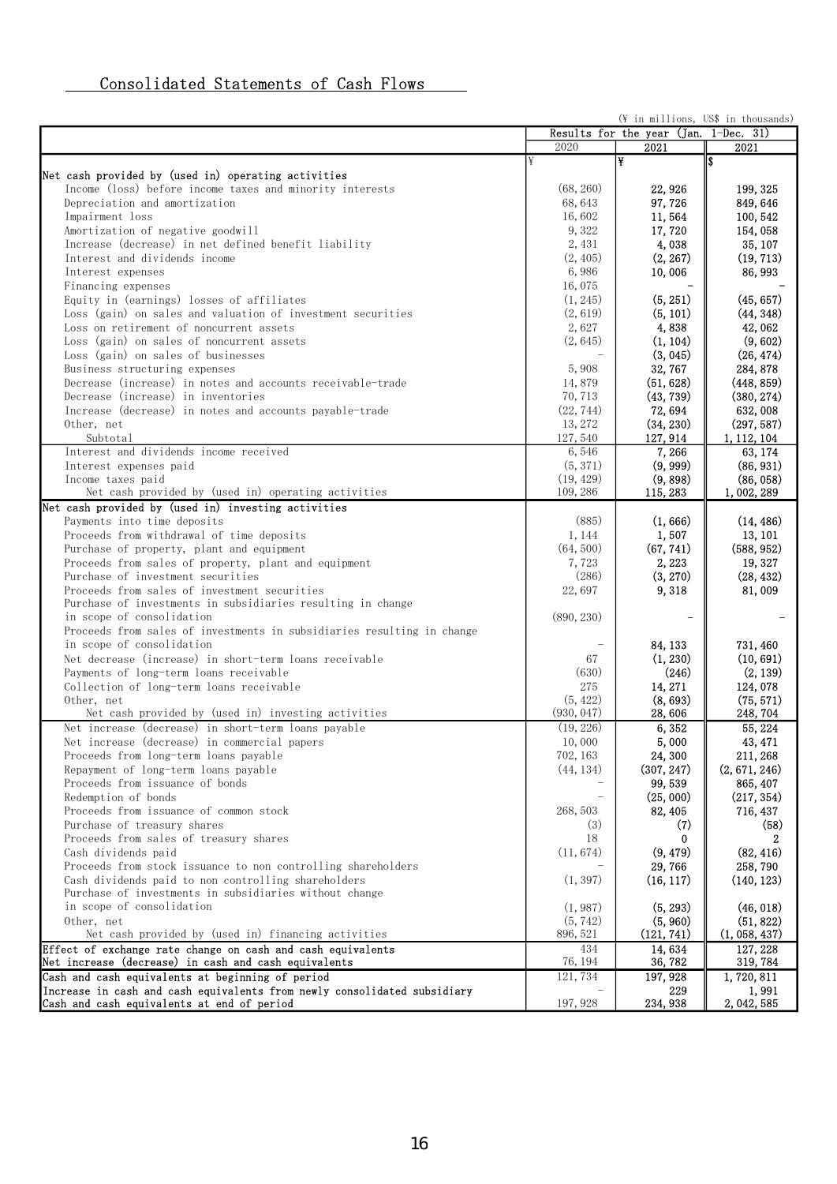# Consolidated Statements of Cash Flows

|                                                                          |            | (¥ in millions, US\$ in thousands)    |               |
|--------------------------------------------------------------------------|------------|---------------------------------------|---------------|
|                                                                          |            | Results for the year (Jan. 1-Dec. 31) |               |
|                                                                          | 2020       | 2021                                  | 2021          |
|                                                                          | ¥          | ¥                                     |               |
| Net cash provided by (used in) operating activities                      |            |                                       |               |
| Income (loss) before income taxes and minority interests                 | (68, 260)  | 22, 926                               | 199, 325      |
| Depreciation and amortization                                            | 68, 643    | 97, 726                               | 849, 646      |
| Impairment loss                                                          | 16,602     | 11, 564                               | 100, 542      |
| Amortization of negative goodwill                                        | 9,322      | 17,720                                | 154, 058      |
| Increase (decrease) in net defined benefit liability                     | 2,431      | 4,038                                 | 35, 107       |
|                                                                          |            | (2, 267)                              |               |
| Interest and dividends income                                            | (2, 405)   |                                       | (19, 713)     |
| Interest expenses                                                        | 6,986      | 10,006                                | 86, 993       |
| Financing expenses                                                       | 16,075     |                                       |               |
| Equity in (earnings) losses of affiliates                                | (1, 245)   | (5, 251)                              | (45, 657)     |
| Loss (gain) on sales and valuation of investment securities              | (2, 619)   | (5, 101)                              | (44, 348)     |
| Loss on retirement of noncurrent assets                                  | 2,627      | 4,838                                 | 42, 062       |
| Loss (gain) on sales of noncurrent assets                                | (2, 645)   | (1, 104)                              | (9, 602)      |
| Loss (gain) on sales of businesses                                       |            | (3, 045)                              | (26, 474)     |
| Business structuring expenses                                            | 5,908      | 32, 767                               | 284, 878      |
| Decrease (increase) in notes and accounts receivable-trade               | 14,879     | (51, 628)                             | (448, 859)    |
| Decrease (increase) in inventories                                       | 70, 713    | (43, 739)                             | (380, 274)    |
| Increase (decrease) in notes and accounts payable-trade                  | (22, 744)  | 72, 694                               | 632,008       |
|                                                                          |            |                                       | (297, 587)    |
| Other, net                                                               | 13, 272    | (34, 230)                             |               |
| Subtotal                                                                 | 127,540    | 127, 914                              | 1, 112, 104   |
| Interest and dividends income received                                   | 6,546      | 7,266                                 | 63, 174       |
| Interest expenses paid                                                   | (5, 371)   | (9, 999)                              | (86, 931)     |
| Income taxes paid                                                        | (19, 429)  | (9, 898)                              | (86, 058)     |
| Net cash provided by (used in) operating activities                      | 109, 286   | 115, 283                              | 1,002,289     |
| Net cash provided by (used in) investing activities                      |            |                                       |               |
| Payments into time deposits                                              | (885)      | (1, 666)                              | (14, 486)     |
| Proceeds from withdrawal of time deposits                                | 1, 144     | 1,507                                 | 13, 101       |
| Purchase of property, plant and equipment                                | (64, 500)  | (67, 741)                             | (588, 952)    |
| Proceeds from sales of property, plant and equipment                     | 7,723      | 2, 223                                | 19, 327       |
| Purchase of investment securities                                        | (286)      | (3, 270)                              | (28, 432)     |
| Proceeds from sales of investment securities                             | 22,697     | 9,318                                 | 81,009        |
| Purchase of investments in subsidiaries resulting in change              |            |                                       |               |
|                                                                          |            |                                       |               |
| in scope of consolidation                                                | (890, 230) |                                       |               |
| Proceeds from sales of investments in subsidiaries resulting in change   |            |                                       |               |
| in scope of consolidation                                                |            | 84, 133                               | 731, 460      |
| Net decrease (increase) in short-term loans receivable                   | 67         | (1, 230)                              | (10, 691)     |
| Payments of long-term loans receivable                                   | (630)      | (246)                                 | (2, 139)      |
| Collection of long-term loans receivable                                 | 275        | 14, 271                               | 124,078       |
| Other, net                                                               | (5, 422)   | (8, 693)                              | (75, 571)     |
| Net cash provided by (used in) investing activities                      | (930, 047) | 28,606                                | 248, 704      |
| Net increase (decrease) in short-term loans payable                      | (19, 226)  | 6,352                                 | 55, 224       |
| Net increase (decrease) in commercial papers                             | 10,000     | 5,000                                 | 43, 471       |
| Proceeds from long-term loans payable                                    | 702, 163   | 24,300                                | 211, 268      |
| Repayment of long-term loans payable                                     | (44, 134)  | (307, 247)                            | (2, 671, 246) |
| Proceeds from issuance of bonds                                          |            | 99, 539                               | 865, 407      |
|                                                                          |            |                                       |               |
| Redemption of bonds                                                      |            | (25,000)                              | (217, 354)    |
| Proceeds from issuance of common stock                                   | 268, 503   | 82, 405                               | 716, 437      |
| Purchase of treasury shares                                              | (3)        | (7)                                   | (58)          |
| Proceeds from sales of treasury shares                                   | 18         | $\bf{0}$                              | 2             |
| Cash dividends paid                                                      | (11, 674)  | (9, 479)                              | (82, 416)     |
| Proceeds from stock issuance to non controlling shareholders             |            | 29,766                                | 258,790       |
| Cash dividends paid to non controlling shareholders                      | (1, 397)   | (16, 117)                             | (140, 123)    |
| Purchase of investments in subsidiaries without change                   |            |                                       |               |
| in scope of consolidation                                                | (1, 987)   | (5, 293)                              | (46, 018)     |
| Other, net                                                               | (5, 742)   | (5, 960)                              | (51, 822)     |
| Net cash provided by (used in) financing activities                      | 896, 521   | (121, 741)                            | (1, 058, 437) |
| Effect of exchange rate change on cash and cash equivalents              | 434        | 14,634                                | 127, 228      |
| Net increase (decrease) in cash and cash equivalents                     | 76, 194    | 36, 782                               | 319, 784      |
| Cash and cash equivalents at beginning of period                         | 121,734    |                                       | 1,720,811     |
|                                                                          |            | 197, 928                              |               |
| Increase in cash and cash equivalents from newly consolidated subsidiary | 197, 928   | 229<br>234, 938                       | 1,991         |
| Cash and cash equivalents at end of period                               |            |                                       | 2, 042, 585   |